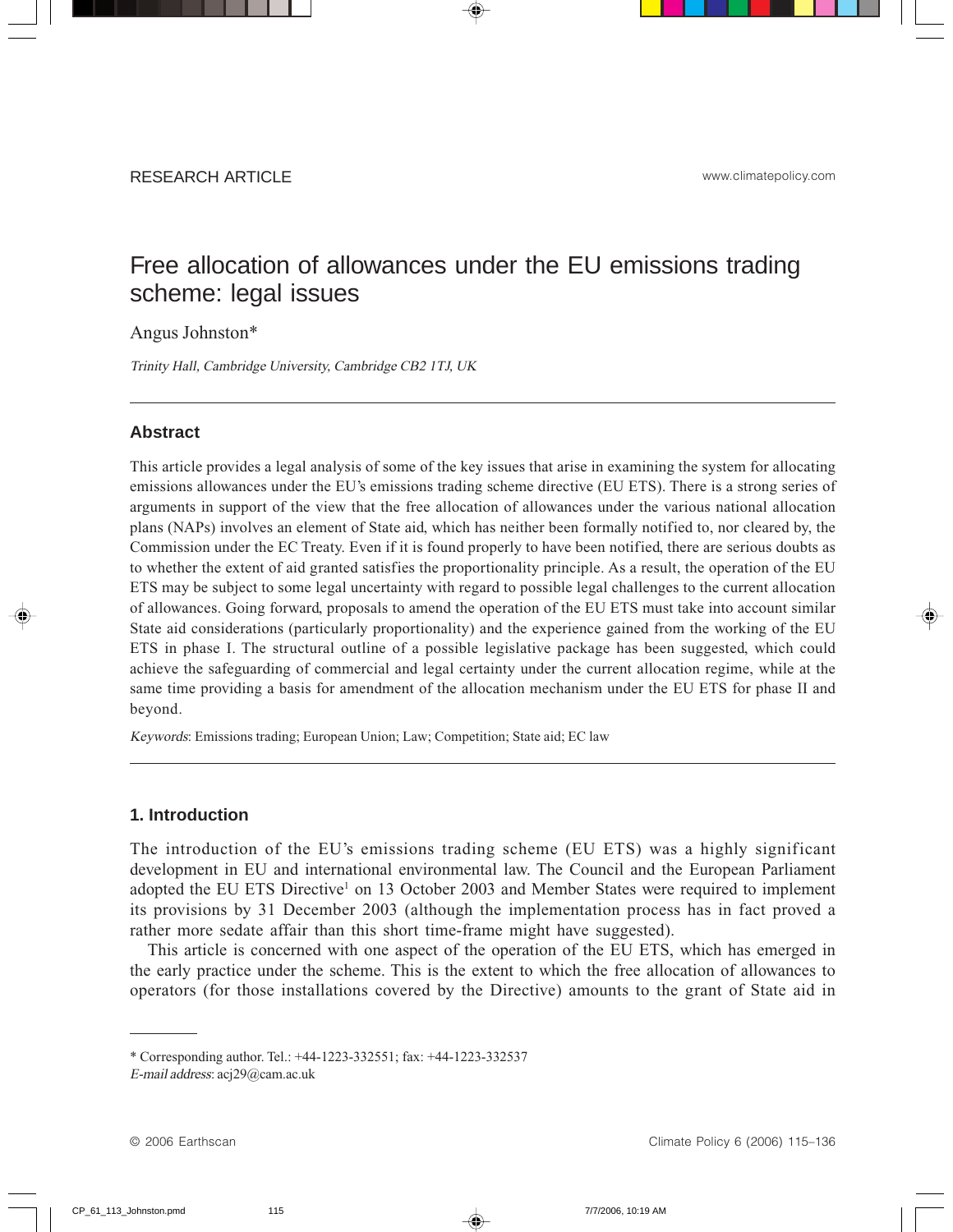RESEARCH ARTICLE www.climatepolicy.com

# Free allocation of allowances under the EU emissions trading scheme: legal issues

Angus Johnston\*

Trinity Hall, Cambridge University, Cambridge CB2 1TJ, UK

# **Abstract**

This article provides a legal analysis of some of the key issues that arise in examining the system for allocating emissions allowances under the EU's emissions trading scheme directive (EU ETS). There is a strong series of arguments in support of the view that the free allocation of allowances under the various national allocation plans (NAPs) involves an element of State aid, which has neither been formally notified to, nor cleared by, the Commission under the EC Treaty. Even if it is found properly to have been notified, there are serious doubts as to whether the extent of aid granted satisfies the proportionality principle. As a result, the operation of the EU ETS may be subject to some legal uncertainty with regard to possible legal challenges to the current allocation of allowances. Going forward, proposals to amend the operation of the EU ETS must take into account similar State aid considerations (particularly proportionality) and the experience gained from the working of the EU ETS in phase I. The structural outline of a possible legislative package has been suggested, which could achieve the safeguarding of commercial and legal certainty under the current allocation regime, while at the same time providing a basis for amendment of the allocation mechanism under the EU ETS for phase II and beyond.

Keywords: Emissions trading; European Union; Law; Competition; State aid; EC law

# **1. Introduction**

The introduction of the EU's emissions trading scheme (EU ETS) was a highly significant development in EU and international environmental law. The Council and the European Parliament adopted the EU ETS Directive<sup>1</sup> on 13 October 2003 and Member States were required to implement its provisions by 31 December 2003 (although the implementation process has in fact proved a rather more sedate affair than this short time-frame might have suggested).

This article is concerned with one aspect of the operation of the EU ETS, which has emerged in the early practice under the scheme. This is the extent to which the free allocation of allowances to operators (for those installations covered by the Directive) amounts to the grant of State aid in

<sup>\*</sup> Corresponding author. Tel.: +44-1223-332551; fax: +44-1223-332537

E-mail address: acj29@cam.ac.uk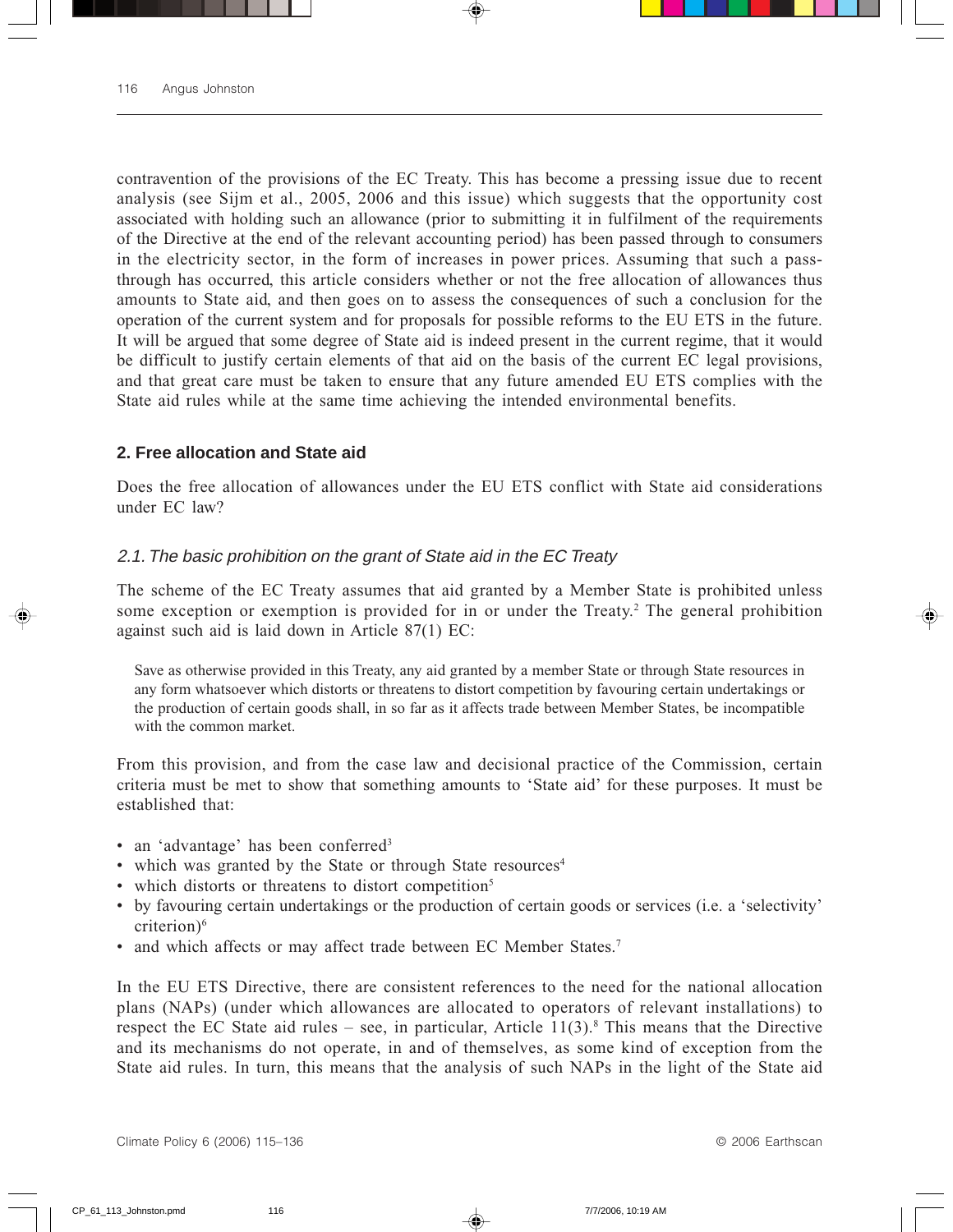contravention of the provisions of the EC Treaty. This has become a pressing issue due to recent analysis (see Sijm et al., 2005, 2006 and this issue) which suggests that the opportunity cost associated with holding such an allowance (prior to submitting it in fulfilment of the requirements of the Directive at the end of the relevant accounting period) has been passed through to consumers in the electricity sector, in the form of increases in power prices. Assuming that such a passthrough has occurred, this article considers whether or not the free allocation of allowances thus amounts to State aid, and then goes on to assess the consequences of such a conclusion for the operation of the current system and for proposals for possible reforms to the EU ETS in the future. It will be argued that some degree of State aid is indeed present in the current regime, that it would be difficult to justify certain elements of that aid on the basis of the current EC legal provisions, and that great care must be taken to ensure that any future amended EU ETS complies with the State aid rules while at the same time achieving the intended environmental benefits.

# **2. Free allocation and State aid**

Does the free allocation of allowances under the EU ETS conflict with State aid considerations under EC law?

## 2.1. The basic prohibition on the grant of State aid in the EC Treaty

The scheme of the EC Treaty assumes that aid granted by a Member State is prohibited unless some exception or exemption is provided for in or under the Treaty.<sup>2</sup> The general prohibition against such aid is laid down in Article 87(1) EC:

Save as otherwise provided in this Treaty, any aid granted by a member State or through State resources in any form whatsoever which distorts or threatens to distort competition by favouring certain undertakings or the production of certain goods shall, in so far as it affects trade between Member States, be incompatible with the common market.

From this provision, and from the case law and decisional practice of the Commission, certain criteria must be met to show that something amounts to 'State aid' for these purposes. It must be established that:

- an 'advantage' has been conferred<sup>3</sup>
- which was granted by the State or through State resources<sup>4</sup>
- which distorts or threatens to distort competition<sup>5</sup>
- by favouring certain undertakings or the production of certain goods or services (i.e. a 'selectivity' criterion $)^6$
- and which affects or may affect trade between EC Member States.<sup>7</sup>

In the EU ETS Directive, there are consistent references to the need for the national allocation plans (NAPs) (under which allowances are allocated to operators of relevant installations) to respect the EC State aid rules – see, in particular, Article  $11(3)$ .<sup>8</sup> This means that the Directive and its mechanisms do not operate, in and of themselves, as some kind of exception from the State aid rules. In turn, this means that the analysis of such NAPs in the light of the State aid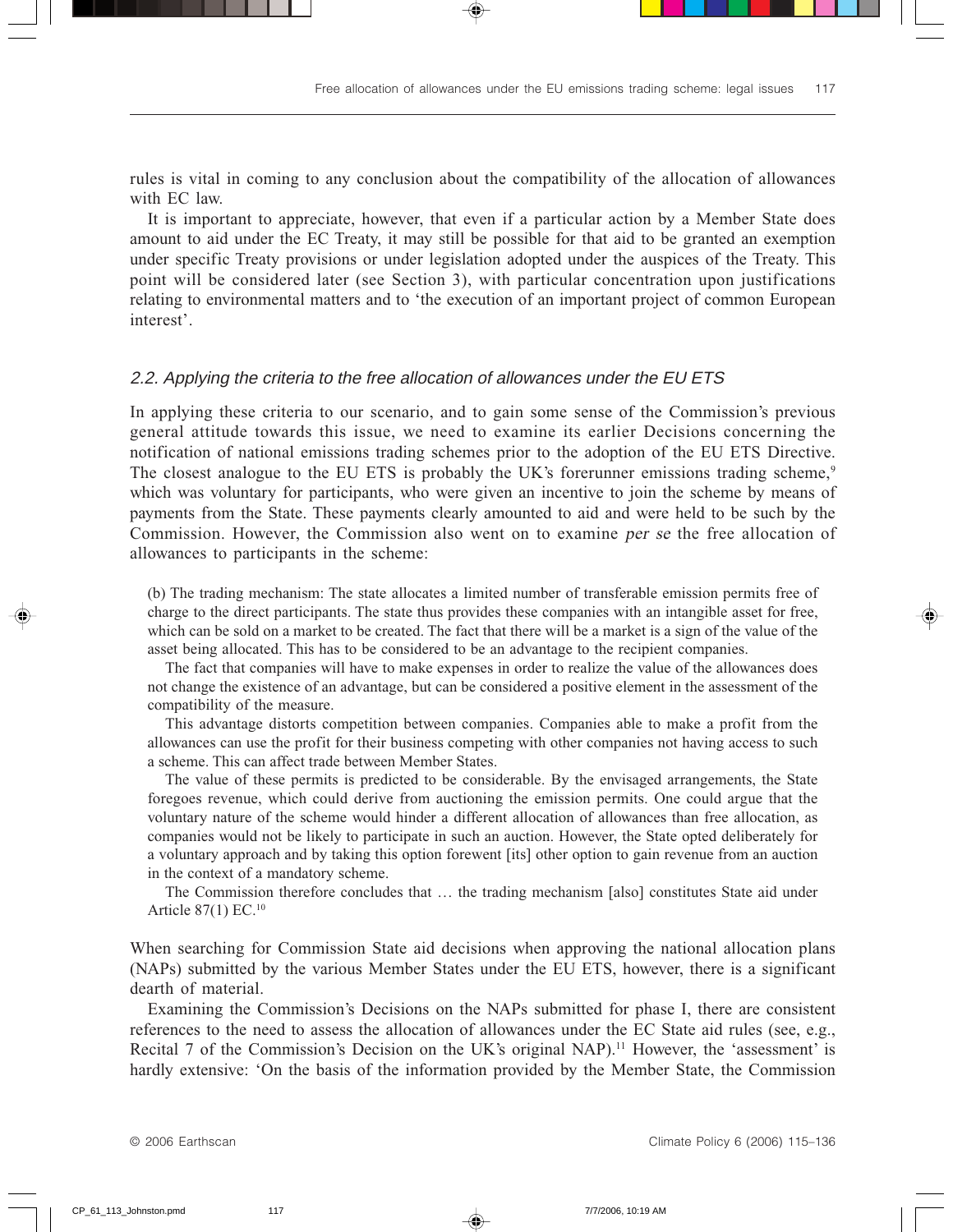rules is vital in coming to any conclusion about the compatibility of the allocation of allowances with EC law.

It is important to appreciate, however, that even if a particular action by a Member State does amount to aid under the EC Treaty, it may still be possible for that aid to be granted an exemption under specific Treaty provisions or under legislation adopted under the auspices of the Treaty. This point will be considered later (see Section 3), with particular concentration upon justifications relating to environmental matters and to 'the execution of an important project of common European interest'.

# 2.2. Applying the criteria to the free allocation of allowances under the EU ETS

In applying these criteria to our scenario, and to gain some sense of the Commission's previous general attitude towards this issue, we need to examine its earlier Decisions concerning the notification of national emissions trading schemes prior to the adoption of the EU ETS Directive. The closest analogue to the EU ETS is probably the UK's forerunner emissions trading scheme, $9$ which was voluntary for participants, who were given an incentive to join the scheme by means of payments from the State. These payments clearly amounted to aid and were held to be such by the Commission. However, the Commission also went on to examine per se the free allocation of allowances to participants in the scheme:

(b) The trading mechanism: The state allocates a limited number of transferable emission permits free of charge to the direct participants. The state thus provides these companies with an intangible asset for free, which can be sold on a market to be created. The fact that there will be a market is a sign of the value of the asset being allocated. This has to be considered to be an advantage to the recipient companies.

The fact that companies will have to make expenses in order to realize the value of the allowances does not change the existence of an advantage, but can be considered a positive element in the assessment of the compatibility of the measure.

This advantage distorts competition between companies. Companies able to make a profit from the allowances can use the profit for their business competing with other companies not having access to such a scheme. This can affect trade between Member States.

The value of these permits is predicted to be considerable. By the envisaged arrangements, the State foregoes revenue, which could derive from auctioning the emission permits. One could argue that the voluntary nature of the scheme would hinder a different allocation of allowances than free allocation, as companies would not be likely to participate in such an auction. However, the State opted deliberately for a voluntary approach and by taking this option forewent [its] other option to gain revenue from an auction in the context of a mandatory scheme.

The Commission therefore concludes that … the trading mechanism [also] constitutes State aid under Article  $87(1)$  EC.<sup>10</sup>

When searching for Commission State aid decisions when approving the national allocation plans (NAPs) submitted by the various Member States under the EU ETS, however, there is a significant dearth of material.

Examining the Commission's Decisions on the NAPs submitted for phase I, there are consistent references to the need to assess the allocation of allowances under the EC State aid rules (see, e.g., Recital 7 of the Commission's Decision on the UK's original NAP).<sup>11</sup> However, the 'assessment' is hardly extensive: 'On the basis of the information provided by the Member State, the Commission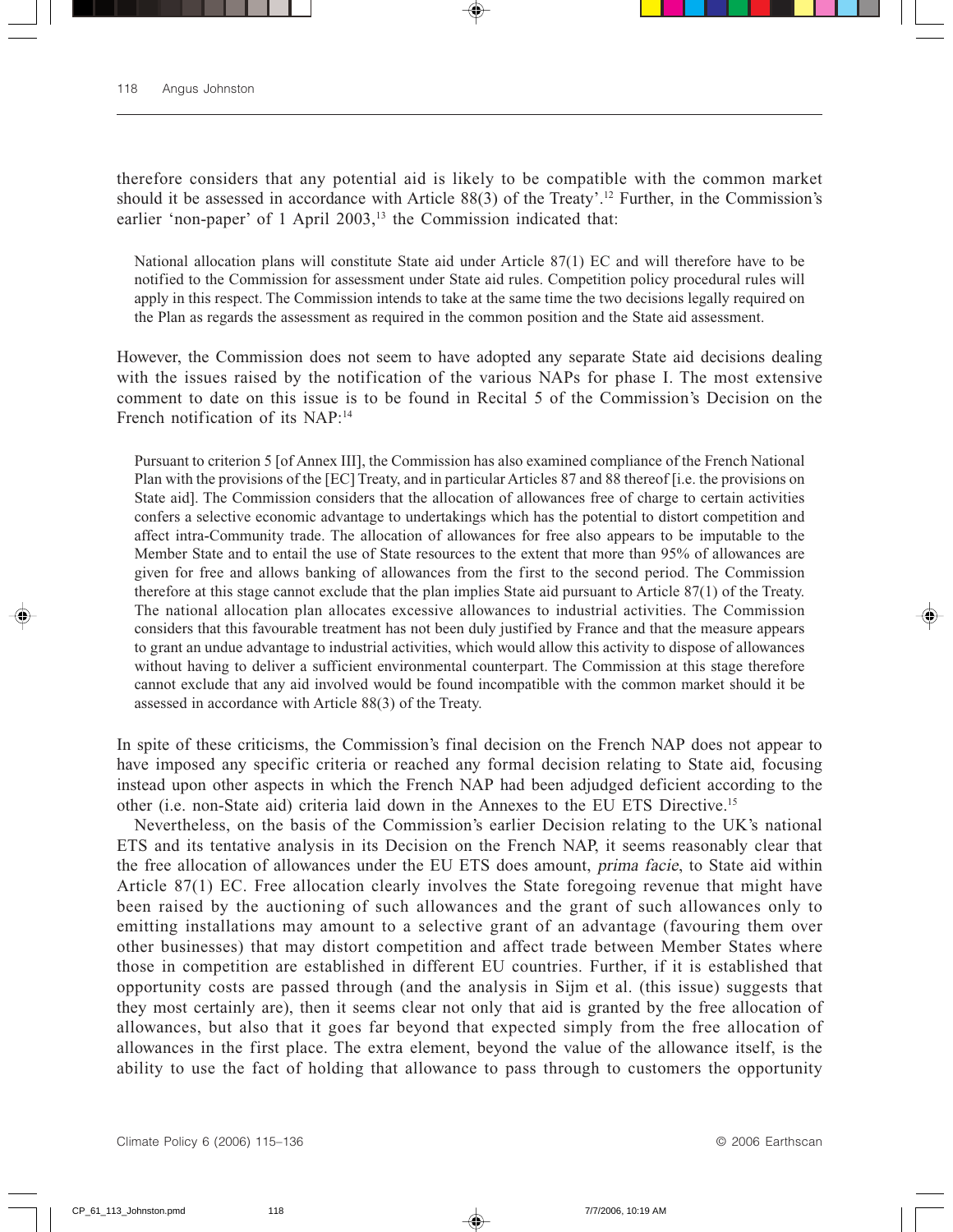therefore considers that any potential aid is likely to be compatible with the common market should it be assessed in accordance with Article 88(3) of the Treaty'.12 Further, in the Commission's earlier 'non-paper' of 1 April 2003,<sup>13</sup> the Commission indicated that:

National allocation plans will constitute State aid under Article 87(1) EC and will therefore have to be notified to the Commission for assessment under State aid rules. Competition policy procedural rules will apply in this respect. The Commission intends to take at the same time the two decisions legally required on the Plan as regards the assessment as required in the common position and the State aid assessment.

However, the Commission does not seem to have adopted any separate State aid decisions dealing with the issues raised by the notification of the various NAPs for phase I. The most extensive comment to date on this issue is to be found in Recital 5 of the Commission's Decision on the French notification of its NAP:14

Pursuant to criterion 5 [of Annex III], the Commission has also examined compliance of the French National Plan with the provisions of the [EC] Treaty, and in particular Articles 87 and 88 thereof [i.e. the provisions on State aid]. The Commission considers that the allocation of allowances free of charge to certain activities confers a selective economic advantage to undertakings which has the potential to distort competition and affect intra-Community trade. The allocation of allowances for free also appears to be imputable to the Member State and to entail the use of State resources to the extent that more than 95% of allowances are given for free and allows banking of allowances from the first to the second period. The Commission therefore at this stage cannot exclude that the plan implies State aid pursuant to Article 87(1) of the Treaty. The national allocation plan allocates excessive allowances to industrial activities. The Commission considers that this favourable treatment has not been duly justified by France and that the measure appears to grant an undue advantage to industrial activities, which would allow this activity to dispose of allowances without having to deliver a sufficient environmental counterpart. The Commission at this stage therefore cannot exclude that any aid involved would be found incompatible with the common market should it be assessed in accordance with Article 88(3) of the Treaty.

In spite of these criticisms, the Commission's final decision on the French NAP does not appear to have imposed any specific criteria or reached any formal decision relating to State aid, focusing instead upon other aspects in which the French NAP had been adjudged deficient according to the other (i.e. non-State aid) criteria laid down in the Annexes to the EU ETS Directive.15

Nevertheless, on the basis of the Commission's earlier Decision relating to the UK's national ETS and its tentative analysis in its Decision on the French NAP, it seems reasonably clear that the free allocation of allowances under the EU ETS does amount, prima facie, to State aid within Article 87(1) EC. Free allocation clearly involves the State foregoing revenue that might have been raised by the auctioning of such allowances and the grant of such allowances only to emitting installations may amount to a selective grant of an advantage (favouring them over other businesses) that may distort competition and affect trade between Member States where those in competition are established in different EU countries. Further, if it is established that opportunity costs are passed through (and the analysis in Sijm et al. (this issue) suggests that they most certainly are), then it seems clear not only that aid is granted by the free allocation of allowances, but also that it goes far beyond that expected simply from the free allocation of allowances in the first place. The extra element, beyond the value of the allowance itself, is the ability to use the fact of holding that allowance to pass through to customers the opportunity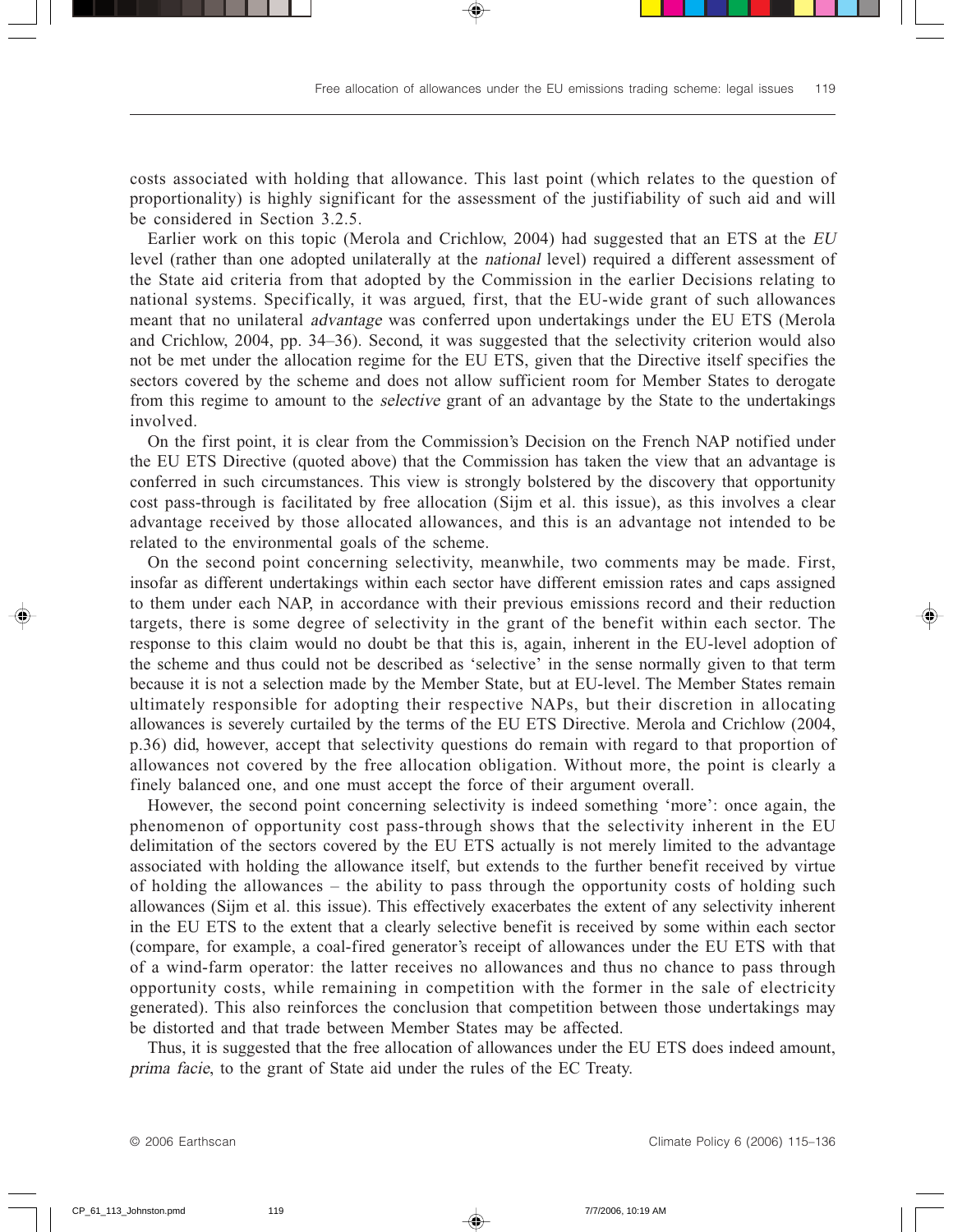costs associated with holding that allowance. This last point (which relates to the question of proportionality) is highly significant for the assessment of the justifiability of such aid and will be considered in Section 3.2.5.

Earlier work on this topic (Merola and Crichlow, 2004) had suggested that an ETS at the EU level (rather than one adopted unilaterally at the national level) required a different assessment of the State aid criteria from that adopted by the Commission in the earlier Decisions relating to national systems. Specifically, it was argued, first, that the EU-wide grant of such allowances meant that no unilateral *advantage* was conferred upon undertakings under the EU ETS (Merola and Crichlow, 2004, pp. 34–36). Second, it was suggested that the selectivity criterion would also not be met under the allocation regime for the EU ETS, given that the Directive itself specifies the sectors covered by the scheme and does not allow sufficient room for Member States to derogate from this regime to amount to the selective grant of an advantage by the State to the undertakings involved.

On the first point, it is clear from the Commission's Decision on the French NAP notified under the EU ETS Directive (quoted above) that the Commission has taken the view that an advantage is conferred in such circumstances. This view is strongly bolstered by the discovery that opportunity cost pass-through is facilitated by free allocation (Sijm et al. this issue), as this involves a clear advantage received by those allocated allowances, and this is an advantage not intended to be related to the environmental goals of the scheme.

On the second point concerning selectivity, meanwhile, two comments may be made. First, insofar as different undertakings within each sector have different emission rates and caps assigned to them under each NAP, in accordance with their previous emissions record and their reduction targets, there is some degree of selectivity in the grant of the benefit within each sector. The response to this claim would no doubt be that this is, again, inherent in the EU-level adoption of the scheme and thus could not be described as 'selective' in the sense normally given to that term because it is not a selection made by the Member State, but at EU-level. The Member States remain ultimately responsible for adopting their respective NAPs, but their discretion in allocating allowances is severely curtailed by the terms of the EU ETS Directive. Merola and Crichlow (2004, p.36) did, however, accept that selectivity questions do remain with regard to that proportion of allowances not covered by the free allocation obligation. Without more, the point is clearly a finely balanced one, and one must accept the force of their argument overall.

However, the second point concerning selectivity is indeed something 'more': once again, the phenomenon of opportunity cost pass-through shows that the selectivity inherent in the EU delimitation of the sectors covered by the EU ETS actually is not merely limited to the advantage associated with holding the allowance itself, but extends to the further benefit received by virtue of holding the allowances – the ability to pass through the opportunity costs of holding such allowances (Sijm et al. this issue). This effectively exacerbates the extent of any selectivity inherent in the EU ETS to the extent that a clearly selective benefit is received by some within each sector (compare, for example, a coal-fired generator's receipt of allowances under the EU ETS with that of a wind-farm operator: the latter receives no allowances and thus no chance to pass through opportunity costs, while remaining in competition with the former in the sale of electricity generated). This also reinforces the conclusion that competition between those undertakings may be distorted and that trade between Member States may be affected.

Thus, it is suggested that the free allocation of allowances under the EU ETS does indeed amount, prima facie, to the grant of State aid under the rules of the EC Treaty.

© 2006 Earthscan Climate Policy 6 (2006) 115–136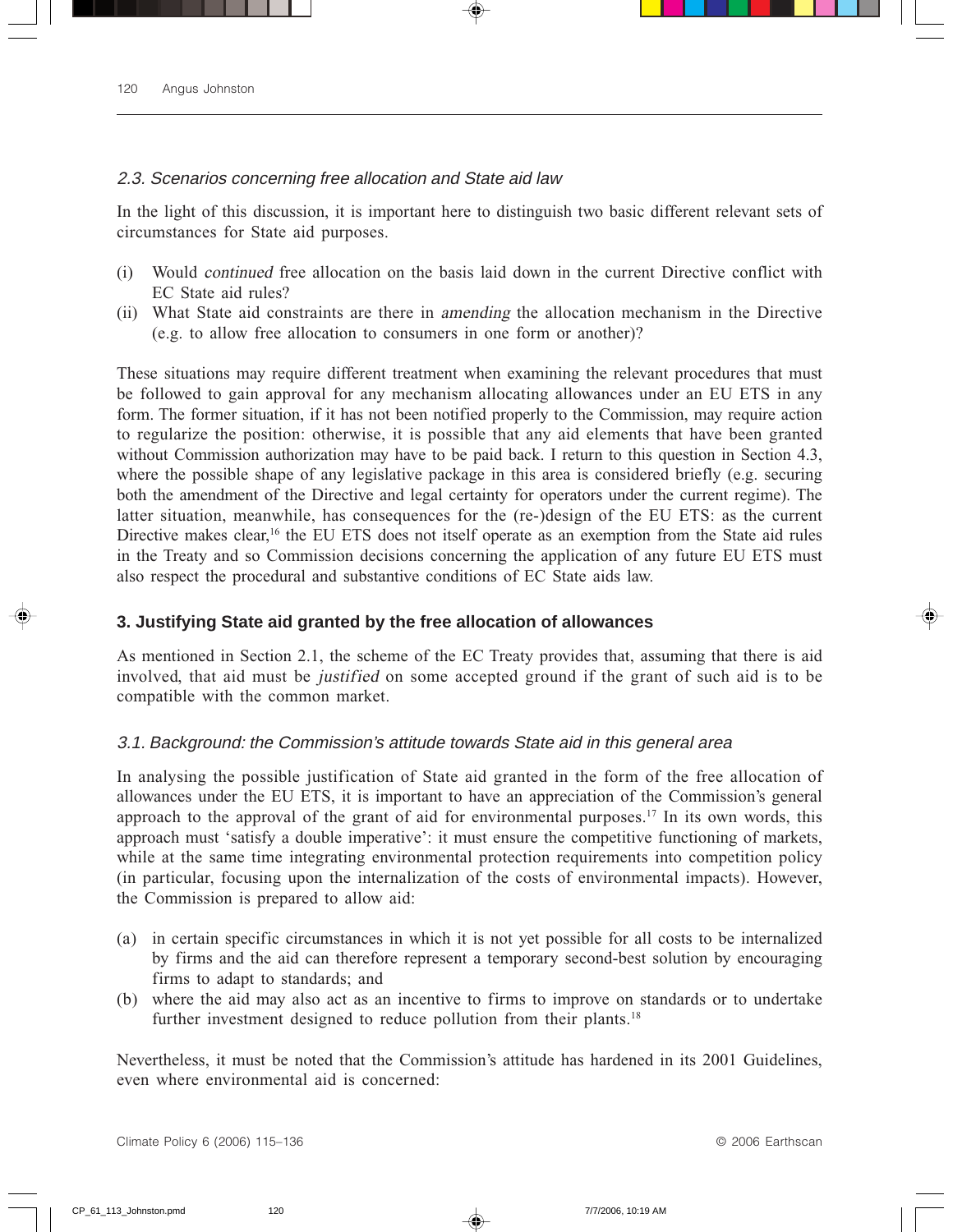# 2.3. Scenarios concerning free allocation and State aid law

In the light of this discussion, it is important here to distinguish two basic different relevant sets of circumstances for State aid purposes.

- (i) Would continued free allocation on the basis laid down in the current Directive conflict with EC State aid rules?
- (ii) What State aid constraints are there in amending the allocation mechanism in the Directive (e.g. to allow free allocation to consumers in one form or another)?

These situations may require different treatment when examining the relevant procedures that must be followed to gain approval for any mechanism allocating allowances under an EU ETS in any form. The former situation, if it has not been notified properly to the Commission, may require action to regularize the position: otherwise, it is possible that any aid elements that have been granted without Commission authorization may have to be paid back. I return to this question in Section 4.3, where the possible shape of any legislative package in this area is considered briefly (e.g. securing both the amendment of the Directive and legal certainty for operators under the current regime). The latter situation, meanwhile, has consequences for the (re-)design of the EU ETS: as the current Directive makes clear,<sup>16</sup> the EU ETS does not itself operate as an exemption from the State aid rules in the Treaty and so Commission decisions concerning the application of any future EU ETS must also respect the procedural and substantive conditions of EC State aids law.

# **3. Justifying State aid granted by the free allocation of allowances**

As mentioned in Section 2.1, the scheme of the EC Treaty provides that, assuming that there is aid involved, that aid must be justified on some accepted ground if the grant of such aid is to be compatible with the common market.

## 3.1. Background: the Commission's attitude towards State aid in this general area

In analysing the possible justification of State aid granted in the form of the free allocation of allowances under the EU ETS, it is important to have an appreciation of the Commission's general approach to the approval of the grant of aid for environmental purposes.<sup>17</sup> In its own words, this approach must 'satisfy a double imperative': it must ensure the competitive functioning of markets, while at the same time integrating environmental protection requirements into competition policy (in particular, focusing upon the internalization of the costs of environmental impacts). However, the Commission is prepared to allow aid:

- (a) in certain specific circumstances in which it is not yet possible for all costs to be internalized by firms and the aid can therefore represent a temporary second-best solution by encouraging firms to adapt to standards; and
- (b) where the aid may also act as an incentive to firms to improve on standards or to undertake further investment designed to reduce pollution from their plants.<sup>18</sup>

Nevertheless, it must be noted that the Commission's attitude has hardened in its 2001 Guidelines, even where environmental aid is concerned: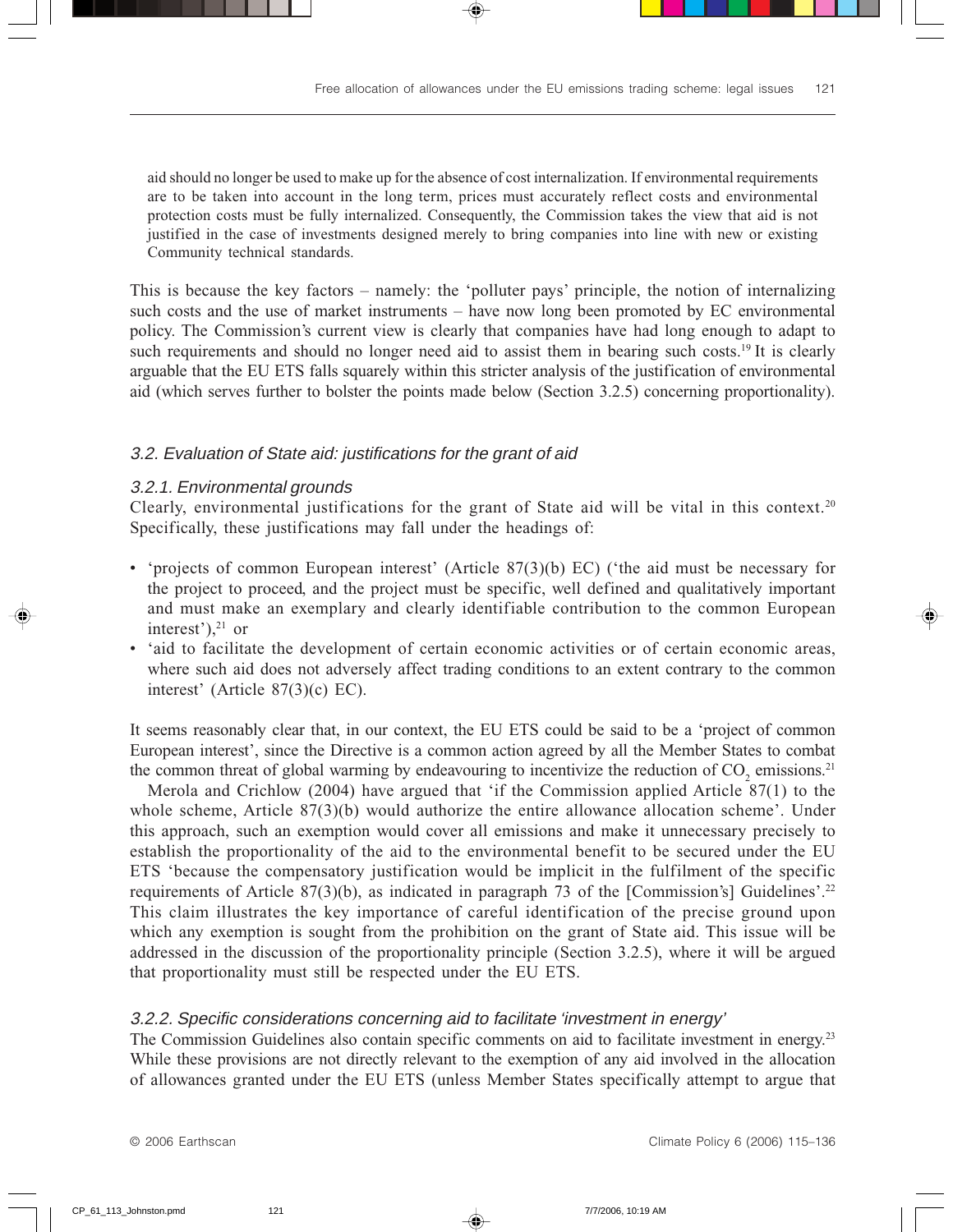aid should no longer be used to make up for the absence of cost internalization. If environmental requirements are to be taken into account in the long term, prices must accurately reflect costs and environmental protection costs must be fully internalized. Consequently, the Commission takes the view that aid is not justified in the case of investments designed merely to bring companies into line with new or existing Community technical standards.

This is because the key factors – namely: the 'polluter pays' principle, the notion of internalizing such costs and the use of market instruments – have now long been promoted by EC environmental policy. The Commission's current view is clearly that companies have had long enough to adapt to such requirements and should no longer need aid to assist them in bearing such costs.<sup>19</sup> It is clearly arguable that the EU ETS falls squarely within this stricter analysis of the justification of environmental aid (which serves further to bolster the points made below (Section 3.2.5) concerning proportionality).

# 3.2. Evaluation of State aid: justifications for the grant of aid

# 3.2.1. Environmental grounds

Clearly, environmental justifications for the grant of State aid will be vital in this context.<sup>20</sup> Specifically, these justifications may fall under the headings of:

- 'projects of common European interest' (Article 87(3)(b) EC) ('the aid must be necessary for the project to proceed, and the project must be specific, well defined and qualitatively important and must make an exemplary and clearly identifiable contribution to the common European interest'), $21$  or
- 'aid to facilitate the development of certain economic activities or of certain economic areas, where such aid does not adversely affect trading conditions to an extent contrary to the common interest' (Article 87(3)(c) EC).

It seems reasonably clear that, in our context, the EU ETS could be said to be a 'project of common European interest', since the Directive is a common action agreed by all the Member States to combat the common threat of global warming by endeavouring to incentivize the reduction of  $CO_2$  emissions.<sup>21</sup>

Merola and Crichlow (2004) have argued that 'if the Commission applied Article 87(1) to the whole scheme, Article 87(3)(b) would authorize the entire allowance allocation scheme'. Under this approach, such an exemption would cover all emissions and make it unnecessary precisely to establish the proportionality of the aid to the environmental benefit to be secured under the EU ETS 'because the compensatory justification would be implicit in the fulfilment of the specific requirements of Article 87(3)(b), as indicated in paragraph 73 of the [Commission's] Guidelines'.<sup>22</sup> This claim illustrates the key importance of careful identification of the precise ground upon which any exemption is sought from the prohibition on the grant of State aid. This issue will be addressed in the discussion of the proportionality principle (Section 3.2.5), where it will be argued that proportionality must still be respected under the EU ETS.

## 3.2.2. Specific considerations concerning aid to facilitate 'investment in energy'

The Commission Guidelines also contain specific comments on aid to facilitate investment in energy.<sup>23</sup> While these provisions are not directly relevant to the exemption of any aid involved in the allocation of allowances granted under the EU ETS (unless Member States specifically attempt to argue that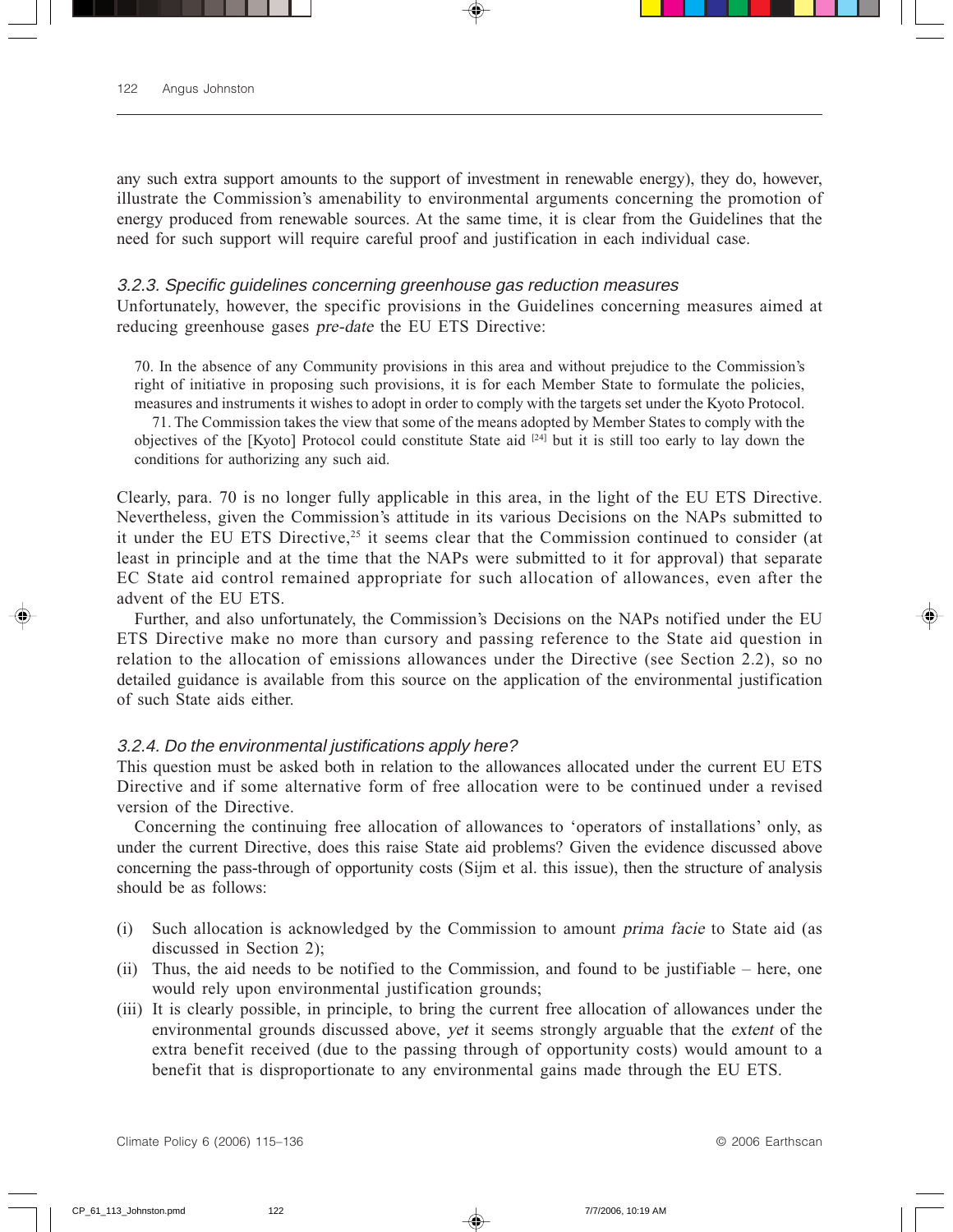any such extra support amounts to the support of investment in renewable energy), they do, however, illustrate the Commission's amenability to environmental arguments concerning the promotion of energy produced from renewable sources. At the same time, it is clear from the Guidelines that the need for such support will require careful proof and justification in each individual case.

# 3.2.3. Specific guidelines concerning greenhouse gas reduction measures

Unfortunately, however, the specific provisions in the Guidelines concerning measures aimed at reducing greenhouse gases pre-date the EU ETS Directive:

70. In the absence of any Community provisions in this area and without prejudice to the Commission's right of initiative in proposing such provisions, it is for each Member State to formulate the policies, measures and instruments it wishes to adopt in order to comply with the targets set under the Kyoto Protocol.

71. The Commission takes the view that some of the means adopted by Member States to comply with the objectives of the [Kyoto] Protocol could constitute State aid  $[24]$  but it is still too early to lay down the conditions for authorizing any such aid.

Clearly, para. 70 is no longer fully applicable in this area, in the light of the EU ETS Directive. Nevertheless, given the Commission's attitude in its various Decisions on the NAPs submitted to it under the EU ETS Directive,<sup>25</sup> it seems clear that the Commission continued to consider (at least in principle and at the time that the NAPs were submitted to it for approval) that separate EC State aid control remained appropriate for such allocation of allowances, even after the advent of the EU ETS.

Further, and also unfortunately, the Commission's Decisions on the NAPs notified under the EU ETS Directive make no more than cursory and passing reference to the State aid question in relation to the allocation of emissions allowances under the Directive (see Section 2.2), so no detailed guidance is available from this source on the application of the environmental justification of such State aids either.

## 3.2.4. Do the environmental justifications apply here?

This question must be asked both in relation to the allowances allocated under the current EU ETS Directive and if some alternative form of free allocation were to be continued under a revised version of the Directive.

Concerning the continuing free allocation of allowances to 'operators of installations' only, as under the current Directive, does this raise State aid problems? Given the evidence discussed above concerning the pass-through of opportunity costs (Sijm et al. this issue), then the structure of analysis should be as follows:

- (i) Such allocation is acknowledged by the Commission to amount prima facie to State aid (as discussed in Section 2);
- (ii) Thus, the aid needs to be notified to the Commission, and found to be justifiable here, one would rely upon environmental justification grounds;
- (iii) It is clearly possible, in principle, to bring the current free allocation of allowances under the environmental grounds discussed above, yet it seems strongly arguable that the extent of the extra benefit received (due to the passing through of opportunity costs) would amount to a benefit that is disproportionate to any environmental gains made through the EU ETS.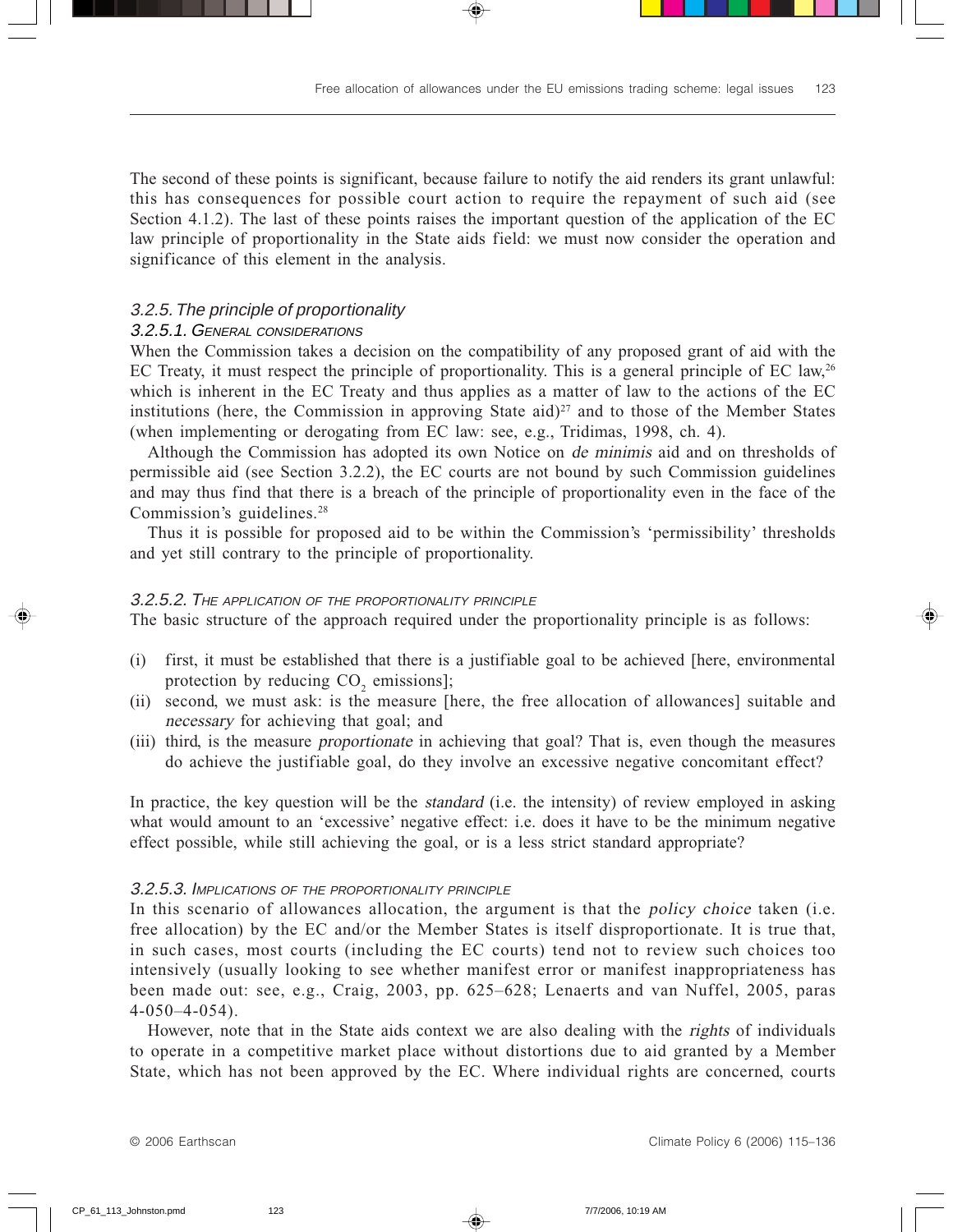The second of these points is significant, because failure to notify the aid renders its grant unlawful: this has consequences for possible court action to require the repayment of such aid (see Section 4.1.2). The last of these points raises the important question of the application of the EC law principle of proportionality in the State aids field: we must now consider the operation and significance of this element in the analysis.

# 3.2.5. The principle of proportionality

# 3.2.5.1. GENERAL CONSIDERATIONS

When the Commission takes a decision on the compatibility of any proposed grant of aid with the EC Treaty, it must respect the principle of proportionality. This is a general principle of EC law,  $2^{6}$ which is inherent in the EC Treaty and thus applies as a matter of law to the actions of the EC institutions (here, the Commission in approving State aid)<sup>27</sup> and to those of the Member States (when implementing or derogating from EC law: see, e.g., Tridimas, 1998, ch. 4).

Although the Commission has adopted its own Notice on de minimis aid and on thresholds of permissible aid (see Section 3.2.2), the EC courts are not bound by such Commission guidelines and may thus find that there is a breach of the principle of proportionality even in the face of the Commission's guidelines.<sup>28</sup>

Thus it is possible for proposed aid to be within the Commission's 'permissibility' thresholds and yet still contrary to the principle of proportionality.

## 3.2.5.2. THE APPLICATION OF THE PROPORTIONALITY PRINCIPLE

The basic structure of the approach required under the proportionality principle is as follows:

- (i) first, it must be established that there is a justifiable goal to be achieved [here, environmental protection by reducing  $CO_2$  emissions];
- (ii) second, we must ask: is the measure [here, the free allocation of allowances] suitable and necessary for achieving that goal; and
- (iii) third, is the measure proportionate in achieving that goal? That is, even though the measures do achieve the justifiable goal, do they involve an excessive negative concomitant effect?

In practice, the key question will be the *standard* (i.e. the intensity) of review employed in asking what would amount to an 'excessive' negative effect: i.e. does it have to be the minimum negative effect possible, while still achieving the goal, or is a less strict standard appropriate?

#### 3.2.5.3. IMPLICATIONS OF THE PROPORTIONALITY PRINCIPLE

In this scenario of allowances allocation, the argument is that the policy choice taken (i.e. free allocation) by the EC and/or the Member States is itself disproportionate. It is true that, in such cases, most courts (including the EC courts) tend not to review such choices too intensively (usually looking to see whether manifest error or manifest inappropriateness has been made out: see, e.g., Craig, 2003, pp. 625–628; Lenaerts and van Nuffel, 2005, paras 4-050–4-054).

However, note that in the State aids context we are also dealing with the rights of individuals to operate in a competitive market place without distortions due to aid granted by a Member State, which has not been approved by the EC. Where individual rights are concerned, courts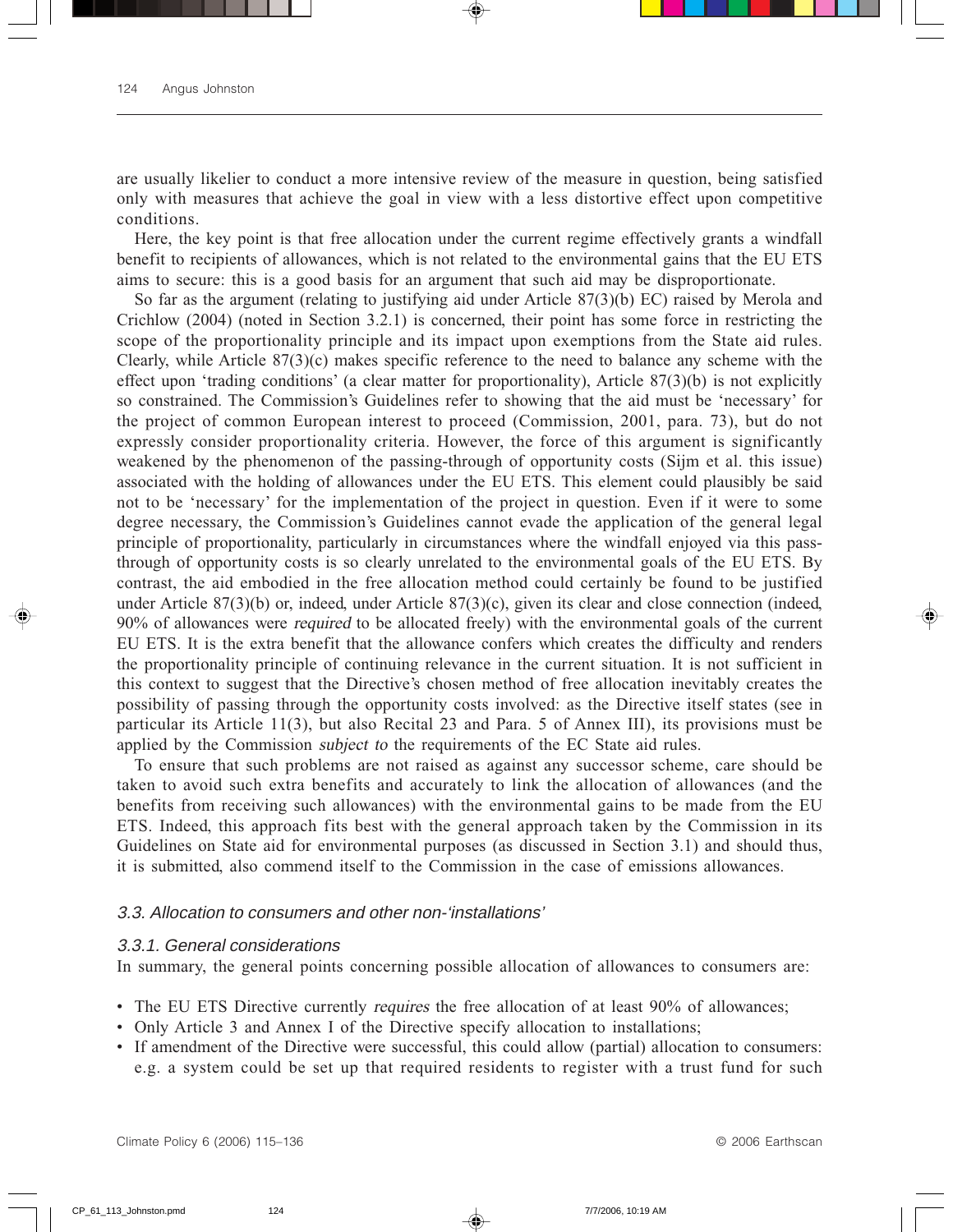are usually likelier to conduct a more intensive review of the measure in question, being satisfied only with measures that achieve the goal in view with a less distortive effect upon competitive conditions.

Here, the key point is that free allocation under the current regime effectively grants a windfall benefit to recipients of allowances, which is not related to the environmental gains that the EU ETS aims to secure: this is a good basis for an argument that such aid may be disproportionate.

So far as the argument (relating to justifying aid under Article 87(3)(b) EC) raised by Merola and Crichlow (2004) (noted in Section 3.2.1) is concerned, their point has some force in restricting the scope of the proportionality principle and its impact upon exemptions from the State aid rules. Clearly, while Article  $87(3)(c)$  makes specific reference to the need to balance any scheme with the effect upon 'trading conditions' (a clear matter for proportionality), Article 87(3)(b) is not explicitly so constrained. The Commission's Guidelines refer to showing that the aid must be 'necessary' for the project of common European interest to proceed (Commission, 2001, para. 73), but do not expressly consider proportionality criteria. However, the force of this argument is significantly weakened by the phenomenon of the passing-through of opportunity costs (Sijm et al. this issue) associated with the holding of allowances under the EU ETS. This element could plausibly be said not to be 'necessary' for the implementation of the project in question. Even if it were to some degree necessary, the Commission's Guidelines cannot evade the application of the general legal principle of proportionality, particularly in circumstances where the windfall enjoyed via this passthrough of opportunity costs is so clearly unrelated to the environmental goals of the EU ETS. By contrast, the aid embodied in the free allocation method could certainly be found to be justified under Article 87(3)(b) or, indeed, under Article 87(3)(c), given its clear and close connection (indeed, 90% of allowances were required to be allocated freely) with the environmental goals of the current EU ETS. It is the extra benefit that the allowance confers which creates the difficulty and renders the proportionality principle of continuing relevance in the current situation. It is not sufficient in this context to suggest that the Directive's chosen method of free allocation inevitably creates the possibility of passing through the opportunity costs involved: as the Directive itself states (see in particular its Article 11(3), but also Recital 23 and Para. 5 of Annex III), its provisions must be applied by the Commission subject to the requirements of the EC State aid rules.

To ensure that such problems are not raised as against any successor scheme, care should be taken to avoid such extra benefits and accurately to link the allocation of allowances (and the benefits from receiving such allowances) with the environmental gains to be made from the EU ETS. Indeed, this approach fits best with the general approach taken by the Commission in its Guidelines on State aid for environmental purposes (as discussed in Section 3.1) and should thus, it is submitted, also commend itself to the Commission in the case of emissions allowances.

# 3.3. Allocation to consumers and other non-'installations'

#### 3.3.1. General considerations

In summary, the general points concerning possible allocation of allowances to consumers are:

- The EU ETS Directive currently *requires* the free allocation of at least 90% of allowances;
- Only Article 3 and Annex I of the Directive specify allocation to installations;
- If amendment of the Directive were successful, this could allow (partial) allocation to consumers: e.g. a system could be set up that required residents to register with a trust fund for such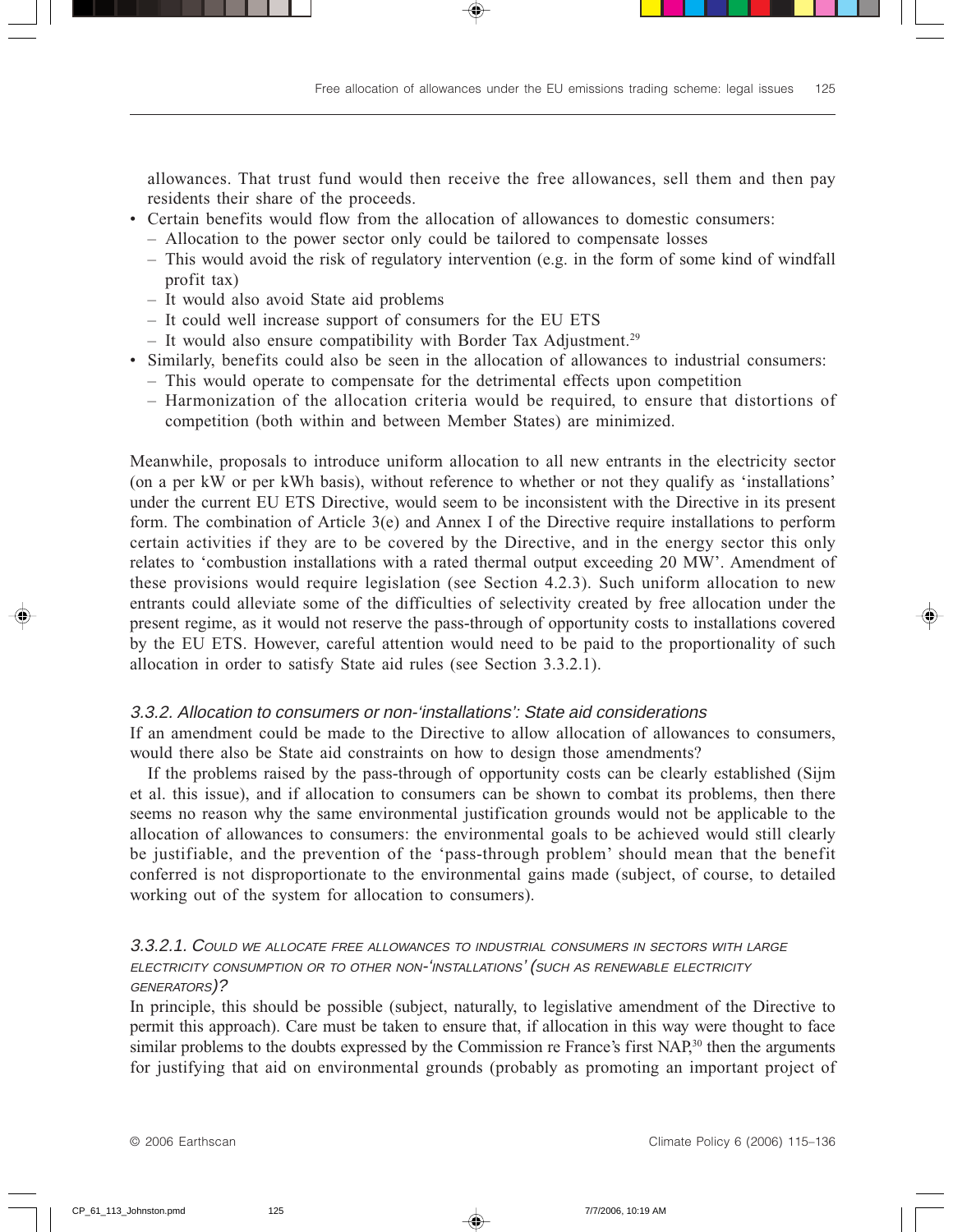allowances. That trust fund would then receive the free allowances, sell them and then pay residents their share of the proceeds.

- Certain benefits would flow from the allocation of allowances to domestic consumers:
	- Allocation to the power sector only could be tailored to compensate losses
	- This would avoid the risk of regulatory intervention (e.g. in the form of some kind of windfall profit tax)
	- It would also avoid State aid problems
	- It could well increase support of consumers for the EU ETS
	- It would also ensure compatibility with Border Tax Adjustment.<sup>29</sup>
- Similarly, benefits could also be seen in the allocation of allowances to industrial consumers:
	- This would operate to compensate for the detrimental effects upon competition
	- Harmonization of the allocation criteria would be required, to ensure that distortions of competition (both within and between Member States) are minimized.

Meanwhile, proposals to introduce uniform allocation to all new entrants in the electricity sector (on a per kW or per kWh basis), without reference to whether or not they qualify as 'installations' under the current EU ETS Directive, would seem to be inconsistent with the Directive in its present form. The combination of Article 3(e) and Annex I of the Directive require installations to perform certain activities if they are to be covered by the Directive, and in the energy sector this only relates to 'combustion installations with a rated thermal output exceeding 20 MW'. Amendment of these provisions would require legislation (see Section 4.2.3). Such uniform allocation to new entrants could alleviate some of the difficulties of selectivity created by free allocation under the present regime, as it would not reserve the pass-through of opportunity costs to installations covered by the EU ETS. However, careful attention would need to be paid to the proportionality of such allocation in order to satisfy State aid rules (see Section 3.3.2.1).

# 3.3.2. Allocation to consumers or non-'installations': State aid considerations

If an amendment could be made to the Directive to allow allocation of allowances to consumers, would there also be State aid constraints on how to design those amendments?

If the problems raised by the pass-through of opportunity costs can be clearly established (Sijm et al. this issue), and if allocation to consumers can be shown to combat its problems, then there seems no reason why the same environmental justification grounds would not be applicable to the allocation of allowances to consumers: the environmental goals to be achieved would still clearly be justifiable, and the prevention of the 'pass-through problem' should mean that the benefit conferred is not disproportionate to the environmental gains made (subject, of course, to detailed working out of the system for allocation to consumers).

# 3.3.2.1. COULD WE ALLOCATE FREE ALLOWANCES TO INDUSTRIAL CONSUMERS IN SECTORS WITH LARGE ELECTRICITY CONSUMPTION OR TO OTHER NON-'INSTALLATIONS' (SUCH AS RENEWABLE ELECTRICITY GENERATORS)?

In principle, this should be possible (subject, naturally, to legislative amendment of the Directive to permit this approach). Care must be taken to ensure that, if allocation in this way were thought to face similar problems to the doubts expressed by the Commission re France's first NAP,<sup>30</sup> then the arguments for justifying that aid on environmental grounds (probably as promoting an important project of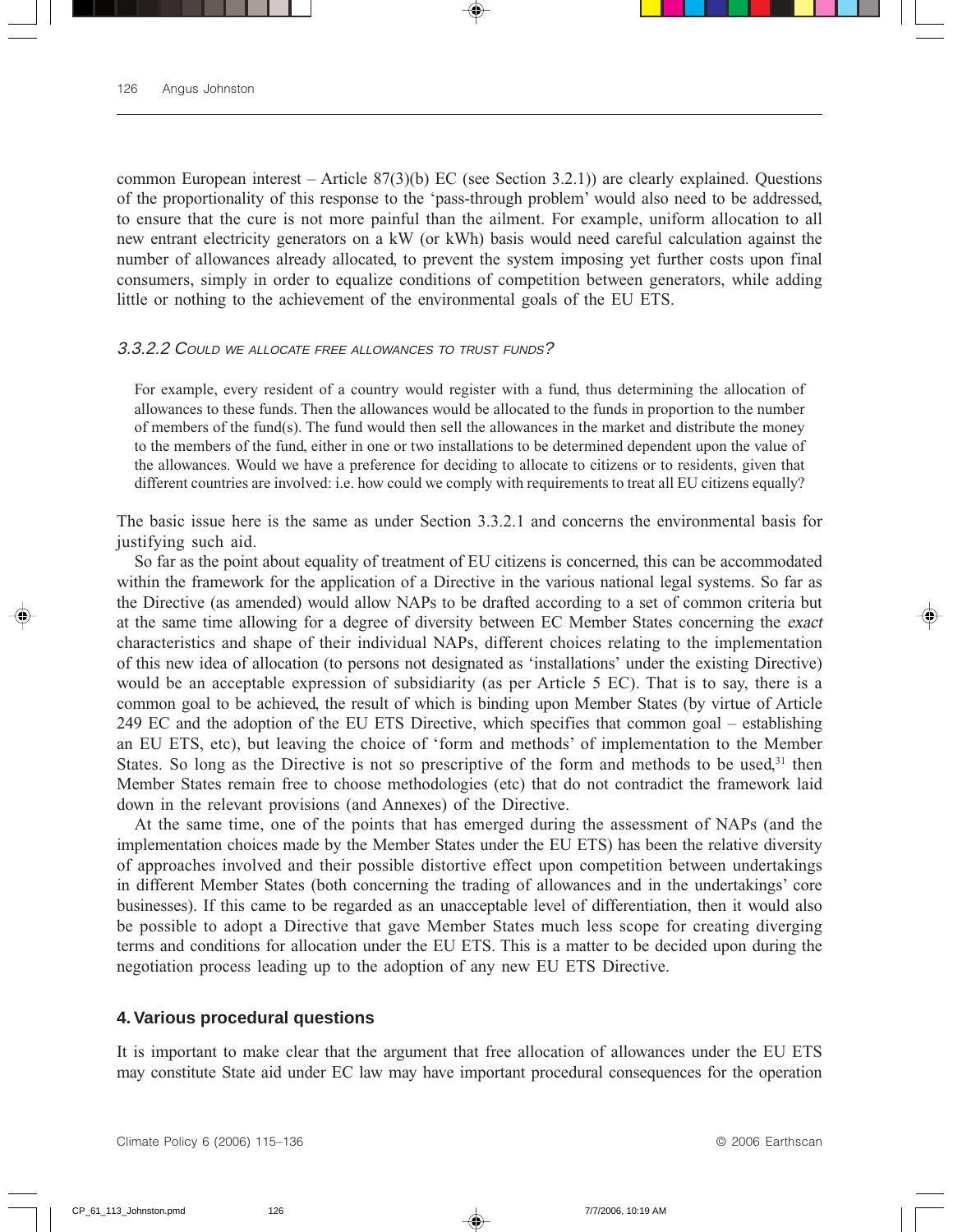common European interest – Article  $87(3)(b)$  EC (see Section 3.2.1)) are clearly explained. Questions of the proportionality of this response to the 'pass-through problem' would also need to be addressed, to ensure that the cure is not more painful than the ailment. For example, uniform allocation to all new entrant electricity generators on a kW (or kWh) basis would need careful calculation against the number of allowances already allocated, to prevent the system imposing yet further costs upon final consumers, simply in order to equalize conditions of competition between generators, while adding little or nothing to the achievement of the environmental goals of the EU ETS.

## 3.3.2.2 COULD WE ALLOCATE FREE ALLOWANCES TO TRUST FUNDS?

For example, every resident of a country would register with a fund, thus determining the allocation of allowances to these funds. Then the allowances would be allocated to the funds in proportion to the number of members of the fund(s). The fund would then sell the allowances in the market and distribute the money to the members of the fund, either in one or two installations to be determined dependent upon the value of the allowances. Would we have a preference for deciding to allocate to citizens or to residents, given that different countries are involved: i.e. how could we comply with requirements to treat all EU citizens equally?

The basic issue here is the same as under Section 3.3.2.1 and concerns the environmental basis for justifying such aid.

So far as the point about equality of treatment of EU citizens is concerned, this can be accommodated within the framework for the application of a Directive in the various national legal systems. So far as the Directive (as amended) would allow NAPs to be drafted according to a set of common criteria but at the same time allowing for a degree of diversity between EC Member States concerning the exact characteristics and shape of their individual NAPs, different choices relating to the implementation of this new idea of allocation (to persons not designated as 'installations' under the existing Directive) would be an acceptable expression of subsidiarity (as per Article 5 EC). That is to say, there is a common goal to be achieved, the result of which is binding upon Member States (by virtue of Article 249 EC and the adoption of the EU ETS Directive, which specifies that common goal – establishing an EU ETS, etc), but leaving the choice of 'form and methods' of implementation to the Member States. So long as the Directive is not so prescriptive of the form and methods to be used, $31$  then Member States remain free to choose methodologies (etc) that do not contradict the framework laid down in the relevant provisions (and Annexes) of the Directive.

At the same time, one of the points that has emerged during the assessment of NAPs (and the implementation choices made by the Member States under the EU ETS) has been the relative diversity of approaches involved and their possible distortive effect upon competition between undertakings in different Member States (both concerning the trading of allowances and in the undertakings' core businesses). If this came to be regarded as an unacceptable level of differentiation, then it would also be possible to adopt a Directive that gave Member States much less scope for creating diverging terms and conditions for allocation under the EU ETS. This is a matter to be decided upon during the negotiation process leading up to the adoption of any new EU ETS Directive.

## **4. Various procedural questions**

It is important to make clear that the argument that free allocation of allowances under the EU ETS may constitute State aid under EC law may have important procedural consequences for the operation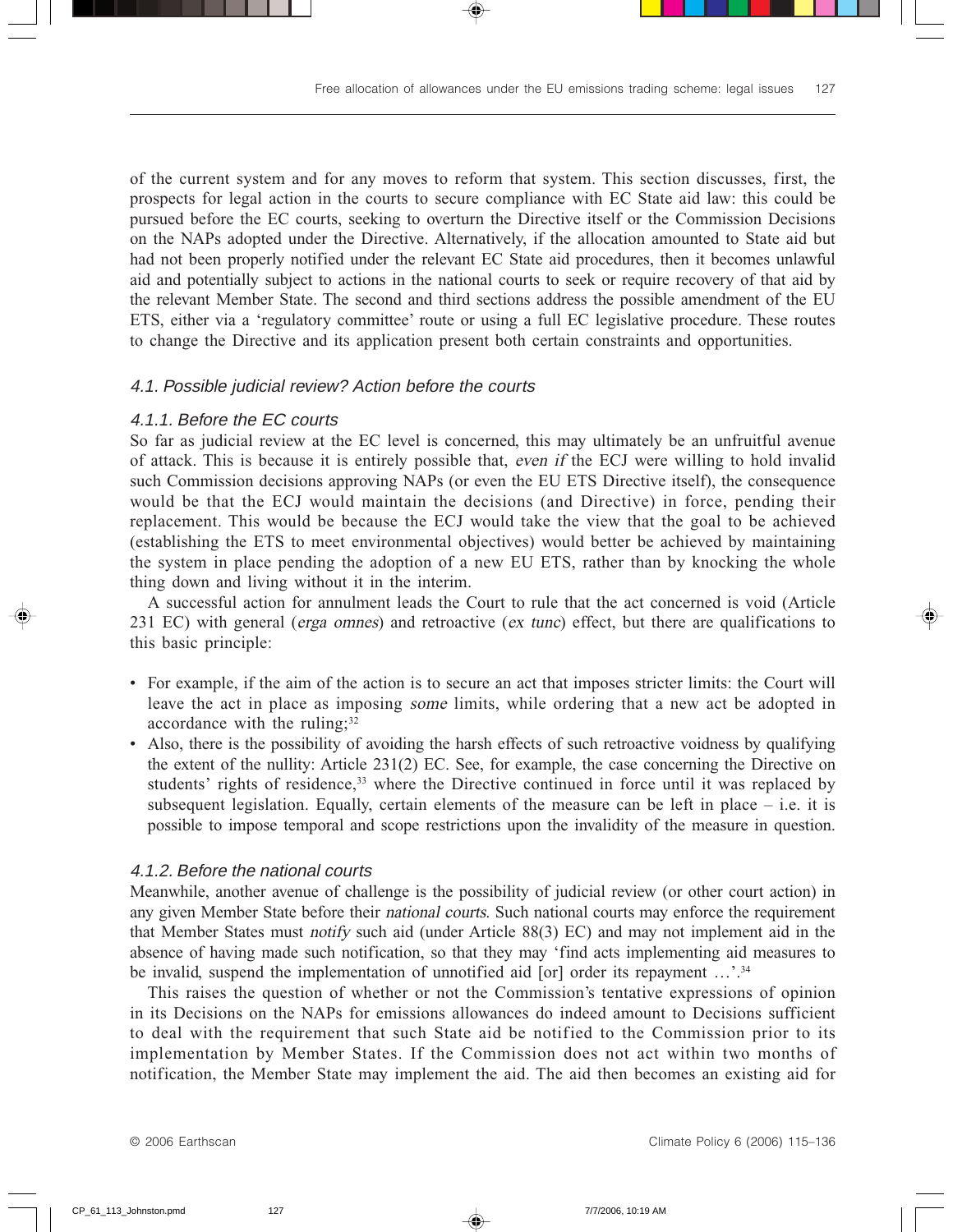of the current system and for any moves to reform that system. This section discusses, first, the prospects for legal action in the courts to secure compliance with EC State aid law: this could be pursued before the EC courts, seeking to overturn the Directive itself or the Commission Decisions on the NAPs adopted under the Directive. Alternatively, if the allocation amounted to State aid but had not been properly notified under the relevant EC State aid procedures, then it becomes unlawful aid and potentially subject to actions in the national courts to seek or require recovery of that aid by the relevant Member State. The second and third sections address the possible amendment of the EU ETS, either via a 'regulatory committee' route or using a full EC legislative procedure. These routes to change the Directive and its application present both certain constraints and opportunities.

### 4.1. Possible judicial review? Action before the courts

### 4.1.1. Before the EC courts

So far as judicial review at the EC level is concerned, this may ultimately be an unfruitful avenue of attack. This is because it is entirely possible that, even if the ECJ were willing to hold invalid such Commission decisions approving NAPs (or even the EU ETS Directive itself), the consequence would be that the ECJ would maintain the decisions (and Directive) in force, pending their replacement. This would be because the ECJ would take the view that the goal to be achieved (establishing the ETS to meet environmental objectives) would better be achieved by maintaining the system in place pending the adoption of a new EU ETS, rather than by knocking the whole thing down and living without it in the interim.

A successful action for annulment leads the Court to rule that the act concerned is void (Article 231 EC) with general (erga omnes) and retroactive (ex tunc) effect, but there are qualifications to this basic principle:

- For example, if the aim of the action is to secure an act that imposes stricter limits: the Court will leave the act in place as imposing some limits, while ordering that a new act be adopted in accordance with the ruling;<sup>32</sup>
- Also, there is the possibility of avoiding the harsh effects of such retroactive voidness by qualifying the extent of the nullity: Article 231(2) EC. See, for example, the case concerning the Directive on students' rights of residence,<sup>33</sup> where the Directive continued in force until it was replaced by subsequent legislation. Equally, certain elements of the measure can be left in place  $-$  i.e. it is possible to impose temporal and scope restrictions upon the invalidity of the measure in question.

# 4.1.2. Before the national courts

Meanwhile, another avenue of challenge is the possibility of judicial review (or other court action) in any given Member State before their national courts. Such national courts may enforce the requirement that Member States must notify such aid (under Article 88(3) EC) and may not implement aid in the absence of having made such notification, so that they may 'find acts implementing aid measures to be invalid, suspend the implementation of unnotified aid [or] order its repayment  $\ldots$ <sup>34</sup>

This raises the question of whether or not the Commission's tentative expressions of opinion in its Decisions on the NAPs for emissions allowances do indeed amount to Decisions sufficient to deal with the requirement that such State aid be notified to the Commission prior to its implementation by Member States. If the Commission does not act within two months of notification, the Member State may implement the aid. The aid then becomes an existing aid for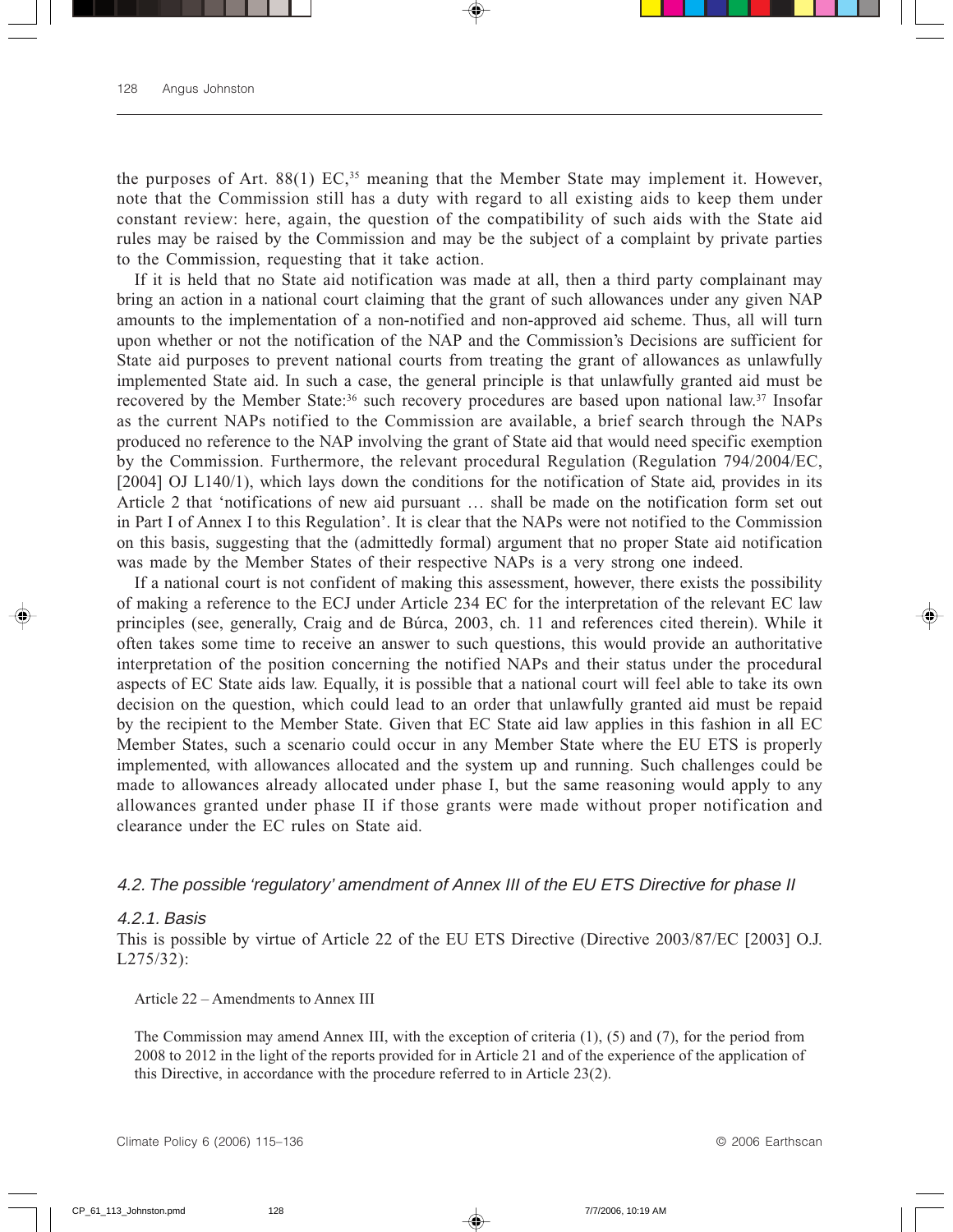the purposes of Art.  $88(1)$  EC,<sup>35</sup> meaning that the Member State may implement it. However, note that the Commission still has a duty with regard to all existing aids to keep them under constant review: here, again, the question of the compatibility of such aids with the State aid rules may be raised by the Commission and may be the subject of a complaint by private parties to the Commission, requesting that it take action.

If it is held that no State aid notification was made at all, then a third party complainant may bring an action in a national court claiming that the grant of such allowances under any given NAP amounts to the implementation of a non-notified and non-approved aid scheme. Thus, all will turn upon whether or not the notification of the NAP and the Commission's Decisions are sufficient for State aid purposes to prevent national courts from treating the grant of allowances as unlawfully implemented State aid. In such a case, the general principle is that unlawfully granted aid must be recovered by the Member State: $36$  such recovery procedures are based upon national law. $37$  Insofar as the current NAPs notified to the Commission are available, a brief search through the NAPs produced no reference to the NAP involving the grant of State aid that would need specific exemption by the Commission. Furthermore, the relevant procedural Regulation (Regulation 794/2004/EC, [2004] OJ L140/1), which lays down the conditions for the notification of State aid, provides in its Article 2 that 'notifications of new aid pursuant … shall be made on the notification form set out in Part I of Annex I to this Regulation'. It is clear that the NAPs were not notified to the Commission on this basis, suggesting that the (admittedly formal) argument that no proper State aid notification was made by the Member States of their respective NAPs is a very strong one indeed.

If a national court is not confident of making this assessment, however, there exists the possibility of making a reference to the ECJ under Article 234 EC for the interpretation of the relevant EC law principles (see, generally, Craig and de Búrca, 2003, ch. 11 and references cited therein). While it often takes some time to receive an answer to such questions, this would provide an authoritative interpretation of the position concerning the notified NAPs and their status under the procedural aspects of EC State aids law. Equally, it is possible that a national court will feel able to take its own decision on the question, which could lead to an order that unlawfully granted aid must be repaid by the recipient to the Member State. Given that EC State aid law applies in this fashion in all EC Member States, such a scenario could occur in any Member State where the EU ETS is properly implemented, with allowances allocated and the system up and running. Such challenges could be made to allowances already allocated under phase I, but the same reasoning would apply to any allowances granted under phase II if those grants were made without proper notification and clearance under the EC rules on State aid.

## 4.2. The possible 'regulatory' amendment of Annex III of the EU ETS Directive for phase II

#### 4.2.1. Basis

This is possible by virtue of Article 22 of the EU ETS Directive (Directive 2003/87/EC [2003] O.J. L275/32):

Article 22 – Amendments to Annex III

The Commission may amend Annex III, with the exception of criteria (1), (5) and (7), for the period from 2008 to 2012 in the light of the reports provided for in Article 21 and of the experience of the application of this Directive, in accordance with the procedure referred to in Article 23(2).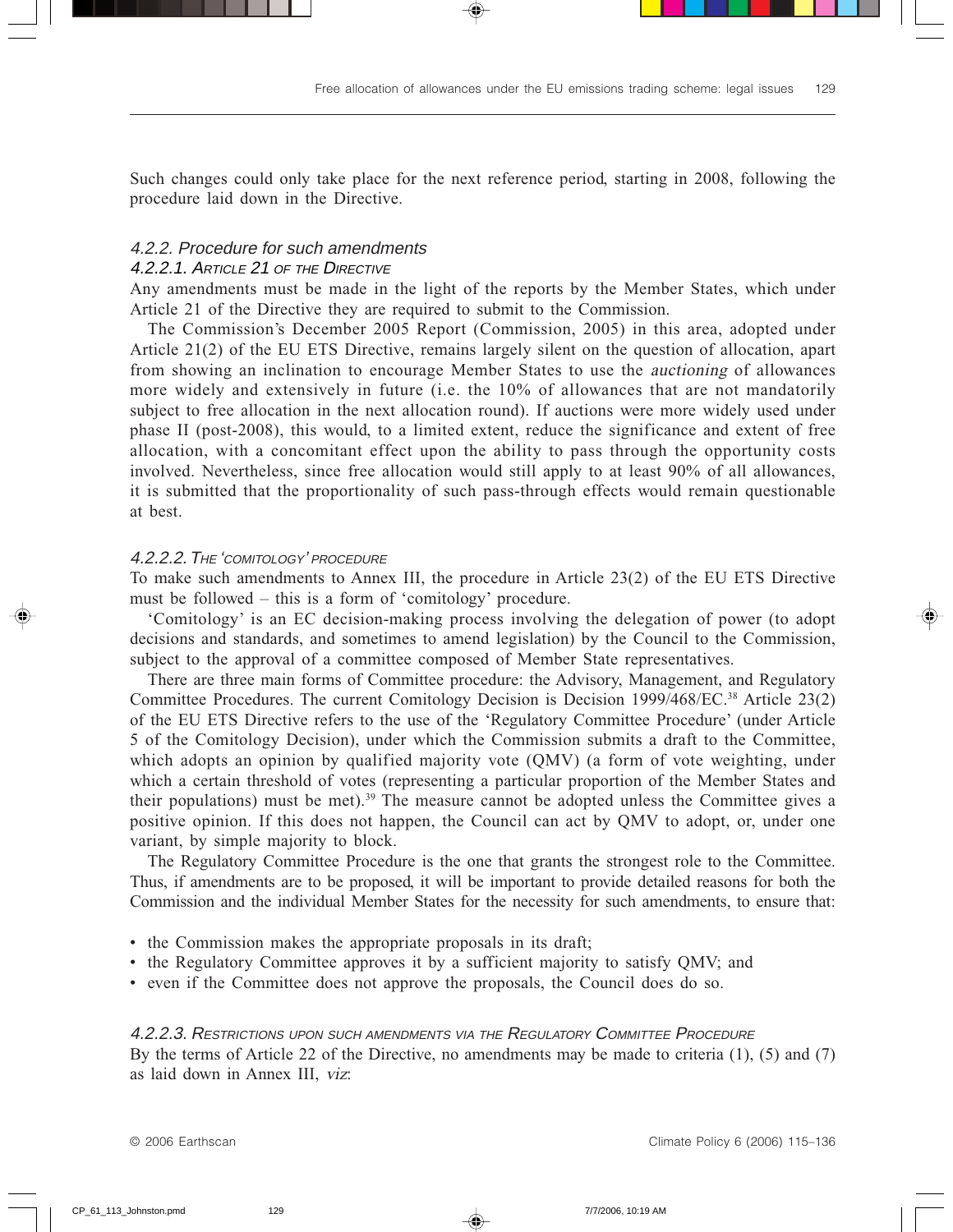Such changes could only take place for the next reference period, starting in 2008, following the procedure laid down in the Directive.

# 4.2.2. Procedure for such amendments

# 4.2.2.1. ARTICLE 21 OF THE DIRECTIVE

Any amendments must be made in the light of the reports by the Member States, which under Article 21 of the Directive they are required to submit to the Commission.

The Commission's December 2005 Report (Commission, 2005) in this area, adopted under Article 21(2) of the EU ETS Directive, remains largely silent on the question of allocation, apart from showing an inclination to encourage Member States to use the auctioning of allowances more widely and extensively in future (i.e. the 10% of allowances that are not mandatorily subject to free allocation in the next allocation round). If auctions were more widely used under phase II (post-2008), this would, to a limited extent, reduce the significance and extent of free allocation, with a concomitant effect upon the ability to pass through the opportunity costs involved. Nevertheless, since free allocation would still apply to at least 90% of all allowances, it is submitted that the proportionality of such pass-through effects would remain questionable at best.

#### 4.2.2.2. THE 'COMITOLOGY' PROCEDURE

To make such amendments to Annex III, the procedure in Article 23(2) of the EU ETS Directive must be followed – this is a form of 'comitology' procedure.

'Comitology' is an EC decision-making process involving the delegation of power (to adopt decisions and standards, and sometimes to amend legislation) by the Council to the Commission, subject to the approval of a committee composed of Member State representatives.

There are three main forms of Committee procedure: the Advisory, Management, and Regulatory Committee Procedures. The current Comitology Decision is Decision 1999/468/EC.<sup>38</sup> Article 23(2) of the EU ETS Directive refers to the use of the 'Regulatory Committee Procedure' (under Article 5 of the Comitology Decision), under which the Commission submits a draft to the Committee, which adopts an opinion by qualified majority vote (QMV) (a form of vote weighting, under which a certain threshold of votes (representing a particular proportion of the Member States and their populations) must be met).39 The measure cannot be adopted unless the Committee gives a positive opinion. If this does not happen, the Council can act by QMV to adopt, or, under one variant, by simple majority to block.

The Regulatory Committee Procedure is the one that grants the strongest role to the Committee. Thus, if amendments are to be proposed, it will be important to provide detailed reasons for both the Commission and the individual Member States for the necessity for such amendments, to ensure that:

- the Commission makes the appropriate proposals in its draft;
- the Regulatory Committee approves it by a sufficient majority to satisfy QMV; and
- even if the Committee does not approve the proposals, the Council does do so.

## 4.2.2.3. RESTRICTIONS UPON SUCH AMENDMENTS VIA THE REGULATORY COMMITTEE PROCEDURE

By the terms of Article 22 of the Directive, no amendments may be made to criteria (1), (5) and (7) as laid down in Annex III, viz:

© 2006 Earthscan Climate Policy 6 (2006) 115–136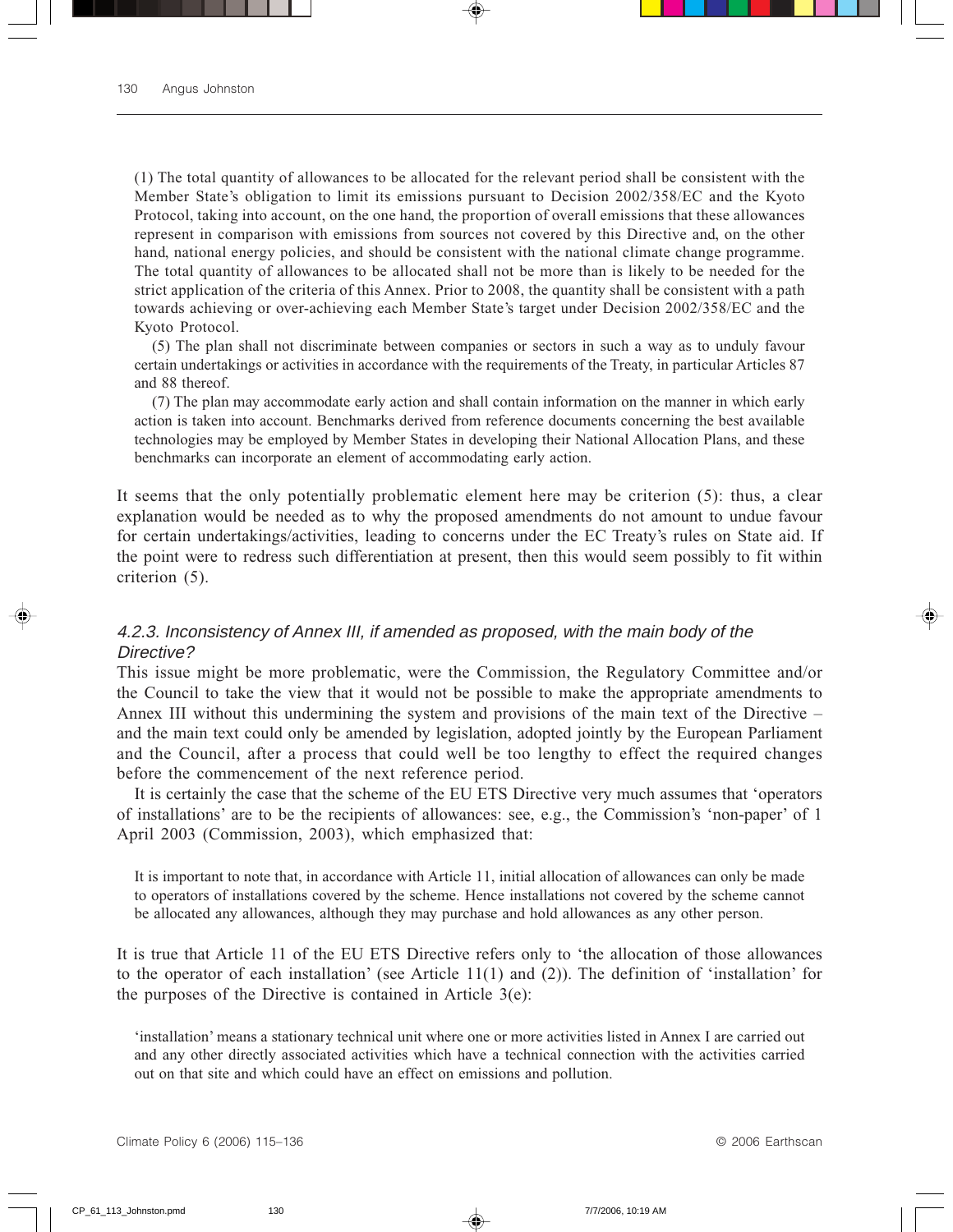(1) The total quantity of allowances to be allocated for the relevant period shall be consistent with the Member State's obligation to limit its emissions pursuant to Decision 2002/358/EC and the Kyoto Protocol, taking into account, on the one hand, the proportion of overall emissions that these allowances represent in comparison with emissions from sources not covered by this Directive and, on the other hand, national energy policies, and should be consistent with the national climate change programme. The total quantity of allowances to be allocated shall not be more than is likely to be needed for the strict application of the criteria of this Annex. Prior to 2008, the quantity shall be consistent with a path towards achieving or over-achieving each Member State's target under Decision 2002/358/EC and the Kyoto Protocol.

(5) The plan shall not discriminate between companies or sectors in such a way as to unduly favour certain undertakings or activities in accordance with the requirements of the Treaty, in particular Articles 87 and 88 thereof.

(7) The plan may accommodate early action and shall contain information on the manner in which early action is taken into account. Benchmarks derived from reference documents concerning the best available technologies may be employed by Member States in developing their National Allocation Plans, and these benchmarks can incorporate an element of accommodating early action.

It seems that the only potentially problematic element here may be criterion (5): thus, a clear explanation would be needed as to why the proposed amendments do not amount to undue favour for certain undertakings/activities, leading to concerns under the EC Treaty's rules on State aid. If the point were to redress such differentiation at present, then this would seem possibly to fit within criterion (5).

# 4.2.3. Inconsistency of Annex III, if amended as proposed, with the main body of the Directive?

This issue might be more problematic, were the Commission, the Regulatory Committee and/or the Council to take the view that it would not be possible to make the appropriate amendments to Annex III without this undermining the system and provisions of the main text of the Directive – and the main text could only be amended by legislation, adopted jointly by the European Parliament and the Council, after a process that could well be too lengthy to effect the required changes before the commencement of the next reference period.

It is certainly the case that the scheme of the EU ETS Directive very much assumes that 'operators of installations' are to be the recipients of allowances: see, e.g., the Commission's 'non-paper' of 1 April 2003 (Commission, 2003), which emphasized that:

It is important to note that, in accordance with Article 11, initial allocation of allowances can only be made to operators of installations covered by the scheme. Hence installations not covered by the scheme cannot be allocated any allowances, although they may purchase and hold allowances as any other person.

It is true that Article 11 of the EU ETS Directive refers only to 'the allocation of those allowances to the operator of each installation' (see Article 11(1) and (2)). The definition of 'installation' for the purposes of the Directive is contained in Article 3(e):

'installation' means a stationary technical unit where one or more activities listed in Annex I are carried out and any other directly associated activities which have a technical connection with the activities carried out on that site and which could have an effect on emissions and pollution.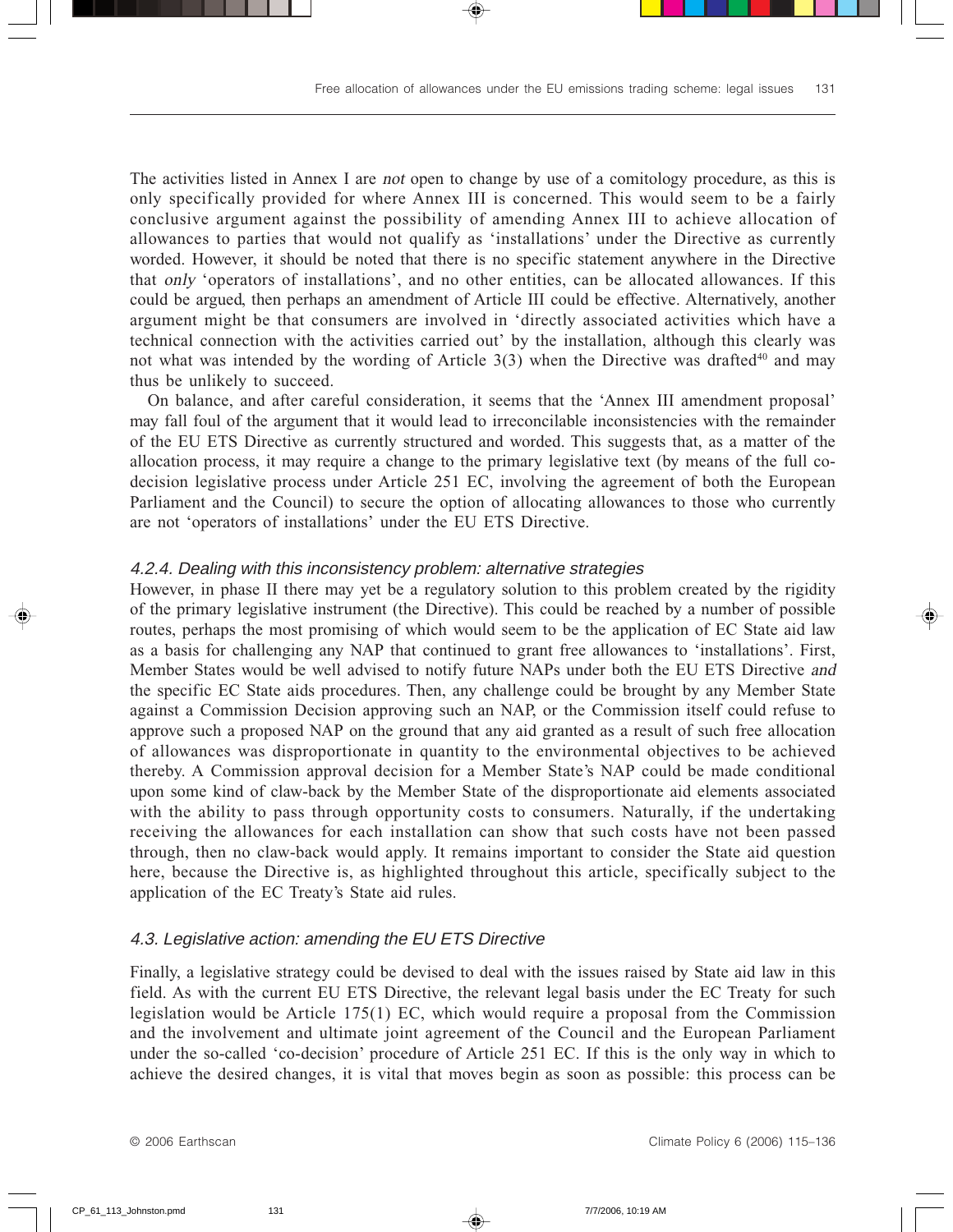The activities listed in Annex I are not open to change by use of a comitology procedure, as this is only specifically provided for where Annex III is concerned. This would seem to be a fairly conclusive argument against the possibility of amending Annex III to achieve allocation of allowances to parties that would not qualify as 'installations' under the Directive as currently worded. However, it should be noted that there is no specific statement anywhere in the Directive that only 'operators of installations', and no other entities, can be allocated allowances. If this could be argued, then perhaps an amendment of Article III could be effective. Alternatively, another argument might be that consumers are involved in 'directly associated activities which have a technical connection with the activities carried out' by the installation, although this clearly was not what was intended by the wording of Article  $3(3)$  when the Directive was drafted<sup>40</sup> and may thus be unlikely to succeed.

On balance, and after careful consideration, it seems that the 'Annex III amendment proposal' may fall foul of the argument that it would lead to irreconcilable inconsistencies with the remainder of the EU ETS Directive as currently structured and worded. This suggests that, as a matter of the allocation process, it may require a change to the primary legislative text (by means of the full codecision legislative process under Article 251 EC, involving the agreement of both the European Parliament and the Council) to secure the option of allocating allowances to those who currently are not 'operators of installations' under the EU ETS Directive.

# 4.2.4. Dealing with this inconsistency problem: alternative strategies

However, in phase II there may yet be a regulatory solution to this problem created by the rigidity of the primary legislative instrument (the Directive). This could be reached by a number of possible routes, perhaps the most promising of which would seem to be the application of EC State aid law as a basis for challenging any NAP that continued to grant free allowances to 'installations'. First, Member States would be well advised to notify future NAPs under both the EU ETS Directive and the specific EC State aids procedures. Then, any challenge could be brought by any Member State against a Commission Decision approving such an NAP, or the Commission itself could refuse to approve such a proposed NAP on the ground that any aid granted as a result of such free allocation of allowances was disproportionate in quantity to the environmental objectives to be achieved thereby. A Commission approval decision for a Member State's NAP could be made conditional upon some kind of claw-back by the Member State of the disproportionate aid elements associated with the ability to pass through opportunity costs to consumers. Naturally, if the undertaking receiving the allowances for each installation can show that such costs have not been passed through, then no claw-back would apply. It remains important to consider the State aid question here, because the Directive is, as highlighted throughout this article, specifically subject to the application of the EC Treaty's State aid rules.

### 4.3. Legislative action: amending the EU ETS Directive

Finally, a legislative strategy could be devised to deal with the issues raised by State aid law in this field. As with the current EU ETS Directive, the relevant legal basis under the EC Treaty for such legislation would be Article 175(1) EC, which would require a proposal from the Commission and the involvement and ultimate joint agreement of the Council and the European Parliament under the so-called 'co-decision' procedure of Article 251 EC. If this is the only way in which to achieve the desired changes, it is vital that moves begin as soon as possible: this process can be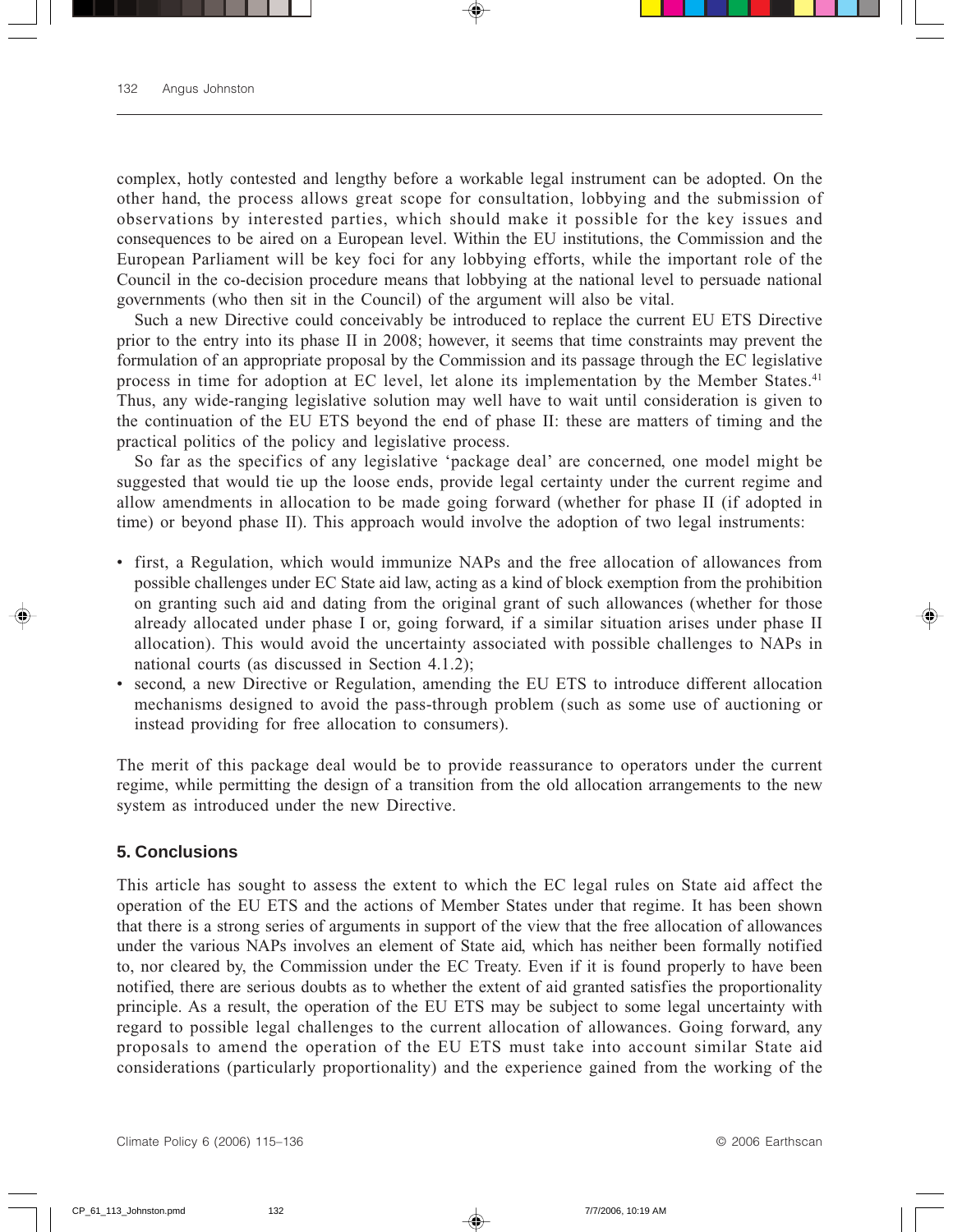complex, hotly contested and lengthy before a workable legal instrument can be adopted. On the other hand, the process allows great scope for consultation, lobbying and the submission of observations by interested parties, which should make it possible for the key issues and consequences to be aired on a European level. Within the EU institutions, the Commission and the European Parliament will be key foci for any lobbying efforts, while the important role of the Council in the co-decision procedure means that lobbying at the national level to persuade national governments (who then sit in the Council) of the argument will also be vital.

Such a new Directive could conceivably be introduced to replace the current EU ETS Directive prior to the entry into its phase II in 2008; however, it seems that time constraints may prevent the formulation of an appropriate proposal by the Commission and its passage through the EC legislative process in time for adoption at EC level, let alone its implementation by the Member States.41 Thus, any wide-ranging legislative solution may well have to wait until consideration is given to the continuation of the EU ETS beyond the end of phase II: these are matters of timing and the practical politics of the policy and legislative process.

So far as the specifics of any legislative 'package deal' are concerned, one model might be suggested that would tie up the loose ends, provide legal certainty under the current regime and allow amendments in allocation to be made going forward (whether for phase II (if adopted in time) or beyond phase II). This approach would involve the adoption of two legal instruments:

- first, a Regulation, which would immunize NAPs and the free allocation of allowances from possible challenges under EC State aid law, acting as a kind of block exemption from the prohibition on granting such aid and dating from the original grant of such allowances (whether for those already allocated under phase I or, going forward, if a similar situation arises under phase II allocation). This would avoid the uncertainty associated with possible challenges to NAPs in national courts (as discussed in Section 4.1.2);
- second, a new Directive or Regulation, amending the EU ETS to introduce different allocation mechanisms designed to avoid the pass-through problem (such as some use of auctioning or instead providing for free allocation to consumers).

The merit of this package deal would be to provide reassurance to operators under the current regime, while permitting the design of a transition from the old allocation arrangements to the new system as introduced under the new Directive.

## **5. Conclusions**

This article has sought to assess the extent to which the EC legal rules on State aid affect the operation of the EU ETS and the actions of Member States under that regime. It has been shown that there is a strong series of arguments in support of the view that the free allocation of allowances under the various NAPs involves an element of State aid, which has neither been formally notified to, nor cleared by, the Commission under the EC Treaty. Even if it is found properly to have been notified, there are serious doubts as to whether the extent of aid granted satisfies the proportionality principle. As a result, the operation of the EU ETS may be subject to some legal uncertainty with regard to possible legal challenges to the current allocation of allowances. Going forward, any proposals to amend the operation of the EU ETS must take into account similar State aid considerations (particularly proportionality) and the experience gained from the working of the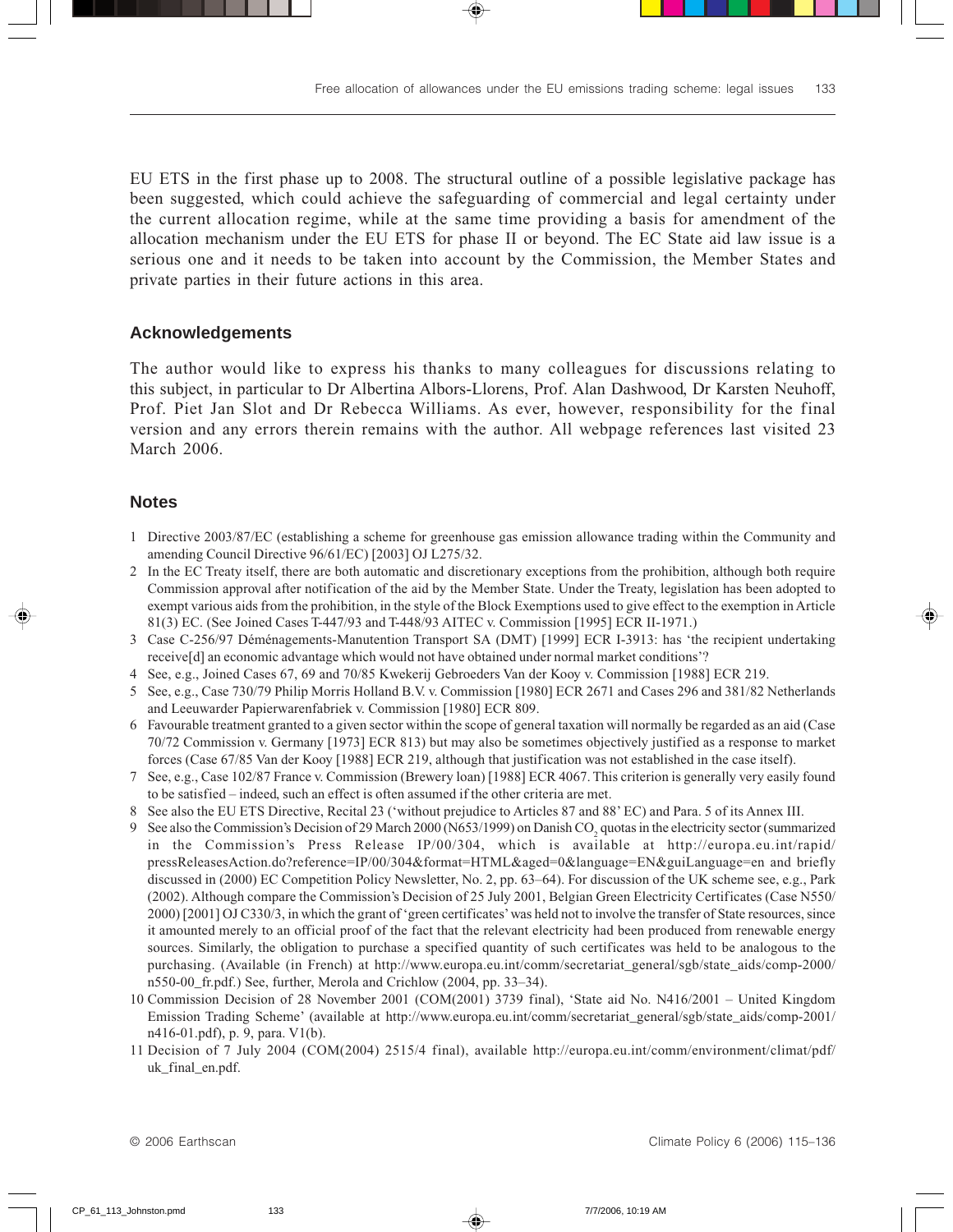EU ETS in the first phase up to 2008. The structural outline of a possible legislative package has been suggested, which could achieve the safeguarding of commercial and legal certainty under the current allocation regime, while at the same time providing a basis for amendment of the allocation mechanism under the EU ETS for phase II or beyond. The EC State aid law issue is a serious one and it needs to be taken into account by the Commission, the Member States and private parties in their future actions in this area.

# **Acknowledgements**

The author would like to express his thanks to many colleagues for discussions relating to this subject, in particular to Dr Albertina Albors-Llorens, Prof. Alan Dashwood, Dr Karsten Neuhoff, Prof. Piet Jan Slot and Dr Rebecca Williams. As ever, however, responsibility for the final version and any errors therein remains with the author. All webpage references last visited 23 March 2006.

## **Notes**

- 1 Directive 2003/87/EC (establishing a scheme for greenhouse gas emission allowance trading within the Community and amending Council Directive 96/61/EC) [2003] OJ L275/32.
- 2 In the EC Treaty itself, there are both automatic and discretionary exceptions from the prohibition, although both require Commission approval after notification of the aid by the Member State. Under the Treaty, legislation has been adopted to exempt various aids from the prohibition, in the style of the Block Exemptions used to give effect to the exemption in Article 81(3) EC. (See Joined Cases T-447/93 and T-448/93 AITEC v. Commission [1995] ECR II-1971.)
- 3 Case C-256/97 Déménagements-Manutention Transport SA (DMT) [1999] ECR I-3913: has 'the recipient undertaking receive[d] an economic advantage which would not have obtained under normal market conditions'?
- 4 See, e.g., Joined Cases 67, 69 and 70/85 Kwekerij Gebroeders Van der Kooy v. Commission [1988] ECR 219.
- 5 See, e.g., Case 730/79 Philip Morris Holland B.V. v. Commission [1980] ECR 2671 and Cases 296 and 381/82 Netherlands and Leeuwarder Papierwarenfabriek v. Commission [1980] ECR 809.
- 6 Favourable treatment granted to a given sector within the scope of general taxation will normally be regarded as an aid (Case 70/72 Commission v. Germany [1973] ECR 813) but may also be sometimes objectively justified as a response to market forces (Case 67/85 Van der Kooy [1988] ECR 219, although that justification was not established in the case itself).
- 7 See, e.g., Case 102/87 France v. Commission (Brewery loan) [1988] ECR 4067. This criterion is generally very easily found to be satisfied – indeed, such an effect is often assumed if the other criteria are met.
- 8 See also the EU ETS Directive, Recital 23 ('without prejudice to Articles 87 and 88' EC) and Para. 5 of its Annex III.
- 9 See also the Commission's Decision of 29 March 2000 (N653/1999) on Danish CO<sub>2</sub> quotas in the electricity sector (summarized in the Commission's Press Release IP/00/304, which is available at http://europa.eu.int/rapid/ pressReleasesAction.do?reference=IP/00/304&format=HTML&aged=0&language=EN&guiLanguage=en and briefly discussed in (2000) EC Competition Policy Newsletter, No. 2, pp. 63–64). For discussion of the UK scheme see, e.g., Park (2002). Although compare the Commission's Decision of 25 July 2001, Belgian Green Electricity Certificates (Case N550/ 2000) [2001] OJ C330/3, in which the grant of 'green certificates' was held not to involve the transfer of State resources, since it amounted merely to an official proof of the fact that the relevant electricity had been produced from renewable energy sources. Similarly, the obligation to purchase a specified quantity of such certificates was held to be analogous to the purchasing. (Available (in French) at http://www.europa.eu.int/comm/secretariat\_general/sgb/state\_aids/comp-2000/ n550-00\_fr.pdf.) See, further, Merola and Crichlow (2004, pp. 33–34).
- 10 Commission Decision of 28 November 2001 (COM(2001) 3739 final), 'State aid No. N416/2001 United Kingdom Emission Trading Scheme' (available at http://www.europa.eu.int/comm/secretariat\_general/sgb/state\_aids/comp-2001/ n416-01.pdf), p. 9, para. V1(b).
- 11 Decision of 7 July 2004 (COM(2004) 2515/4 final), available http://europa.eu.int/comm/environment/climat/pdf/ uk\_final\_en.pdf.

© 2006 Earthscan Climate Policy 6 (2006) 115–136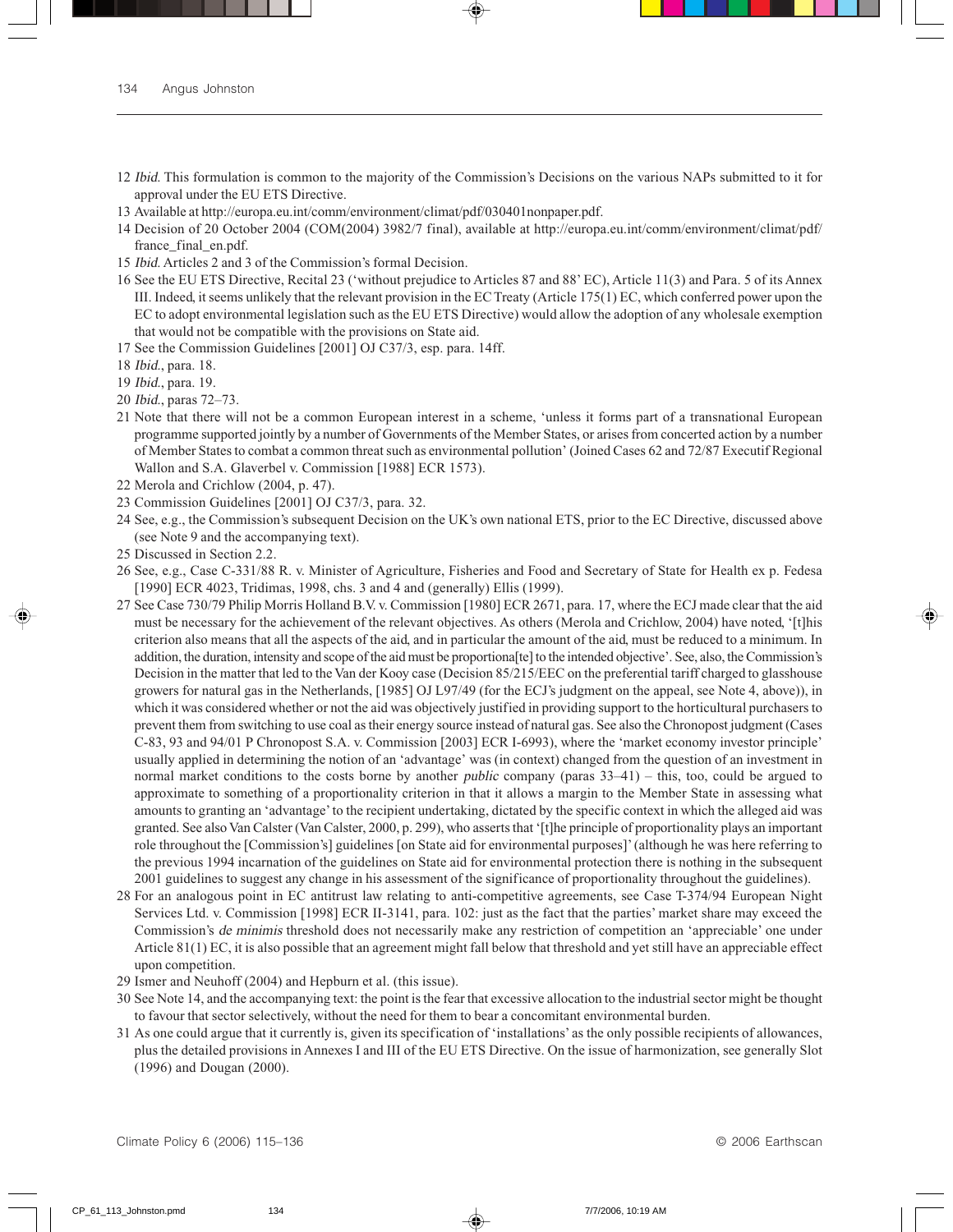- 12 Ibid. This formulation is common to the majority of the Commission's Decisions on the various NAPs submitted to it for approval under the EU ETS Directive.
- 13 Available at http://europa.eu.int/comm/environment/climat/pdf/030401nonpaper.pdf.
- 14 Decision of 20 October 2004 (COM(2004) 3982/7 final), available at http://europa.eu.int/comm/environment/climat/pdf/ france\_final\_en.pdf.
- 15 Ibid. Articles 2 and 3 of the Commission's formal Decision.
- 16 See the EU ETS Directive, Recital 23 ('without prejudice to Articles 87 and 88' EC), Article 11(3) and Para. 5 of its Annex III. Indeed, it seems unlikely that the relevant provision in the EC Treaty (Article 175(1) EC, which conferred power upon the EC to adopt environmental legislation such as the EU ETS Directive) would allow the adoption of any wholesale exemption that would not be compatible with the provisions on State aid.
- 17 See the Commission Guidelines [2001] OJ C37/3, esp. para. 14ff.
- 18 Ibid., para. 18.
- 19 Ibid., para. 19.
- 20 Ibid., paras 72–73.
- 21 Note that there will not be a common European interest in a scheme, 'unless it forms part of a transnational European programme supported jointly by a number of Governments of the Member States, or arises from concerted action by a number of Member States to combat a common threat such as environmental pollution' (Joined Cases 62 and 72/87 Executif Regional Wallon and S.A. Glaverbel v. Commission [1988] ECR 1573).
- 22 Merola and Crichlow (2004, p. 47).
- 23 Commission Guidelines [2001] OJ C37/3, para. 32.
- 24 See, e.g., the Commission's subsequent Decision on the UK's own national ETS, prior to the EC Directive, discussed above (see Note 9 and the accompanying text).
- 25 Discussed in Section 2.2.
- 26 See, e.g., Case C-331/88 R. v. Minister of Agriculture, Fisheries and Food and Secretary of State for Health ex p. Fedesa [1990] ECR 4023, Tridimas, 1998, chs. 3 and 4 and (generally) Ellis (1999).
- 27 See Case 730/79 Philip Morris Holland B.V. v. Commission [1980] ECR 2671, para. 17, where the ECJ made clear that the aid must be necessary for the achievement of the relevant objectives. As others (Merola and Crichlow, 2004) have noted, '[t]his criterion also means that all the aspects of the aid, and in particular the amount of the aid, must be reduced to a minimum. In addition, the duration, intensity and scope of the aid must be proportiona[te] to the intended objective'. See, also, the Commission's Decision in the matter that led to the Van der Kooy case (Decision 85/215/EEC on the preferential tariff charged to glasshouse growers for natural gas in the Netherlands, [1985] OJ L97/49 (for the ECJ's judgment on the appeal, see Note 4, above)), in which it was considered whether or not the aid was objectively justified in providing support to the horticultural purchasers to prevent them from switching to use coal as their energy source instead of natural gas. See also the Chronopost judgment (Cases C-83, 93 and 94/01 P Chronopost S.A. v. Commission [2003] ECR I-6993), where the 'market economy investor principle' usually applied in determining the notion of an 'advantage' was (in context) changed from the question of an investment in normal market conditions to the costs borne by another *public* company (paras  $33-41$ ) – this, too, could be argued to approximate to something of a proportionality criterion in that it allows a margin to the Member State in assessing what amounts to granting an 'advantage' to the recipient undertaking, dictated by the specific context in which the alleged aid was granted. See also Van Calster (Van Calster, 2000, p. 299), who asserts that '[t]he principle of proportionality plays an important role throughout the [Commission's] guidelines [on State aid for environmental purposes]' (although he was here referring to the previous 1994 incarnation of the guidelines on State aid for environmental protection there is nothing in the subsequent 2001 guidelines to suggest any change in his assessment of the significance of proportionality throughout the guidelines).
- 28 For an analogous point in EC antitrust law relating to anti-competitive agreements, see Case T-374/94 European Night Services Ltd. v. Commission [1998] ECR II-3141, para. 102: just as the fact that the parties' market share may exceed the Commission's de minimis threshold does not necessarily make any restriction of competition an 'appreciable' one under Article 81(1) EC, it is also possible that an agreement might fall below that threshold and yet still have an appreciable effect upon competition.
- 29 Ismer and Neuhoff (2004) and Hepburn et al. (this issue).
- 30 See Note 14, and the accompanying text: the point is the fear that excessive allocation to the industrial sector might be thought to favour that sector selectively, without the need for them to bear a concomitant environmental burden.
- 31 As one could argue that it currently is, given its specification of 'installations' as the only possible recipients of allowances, plus the detailed provisions in Annexes I and III of the EU ETS Directive. On the issue of harmonization, see generally Slot (1996) and Dougan (2000).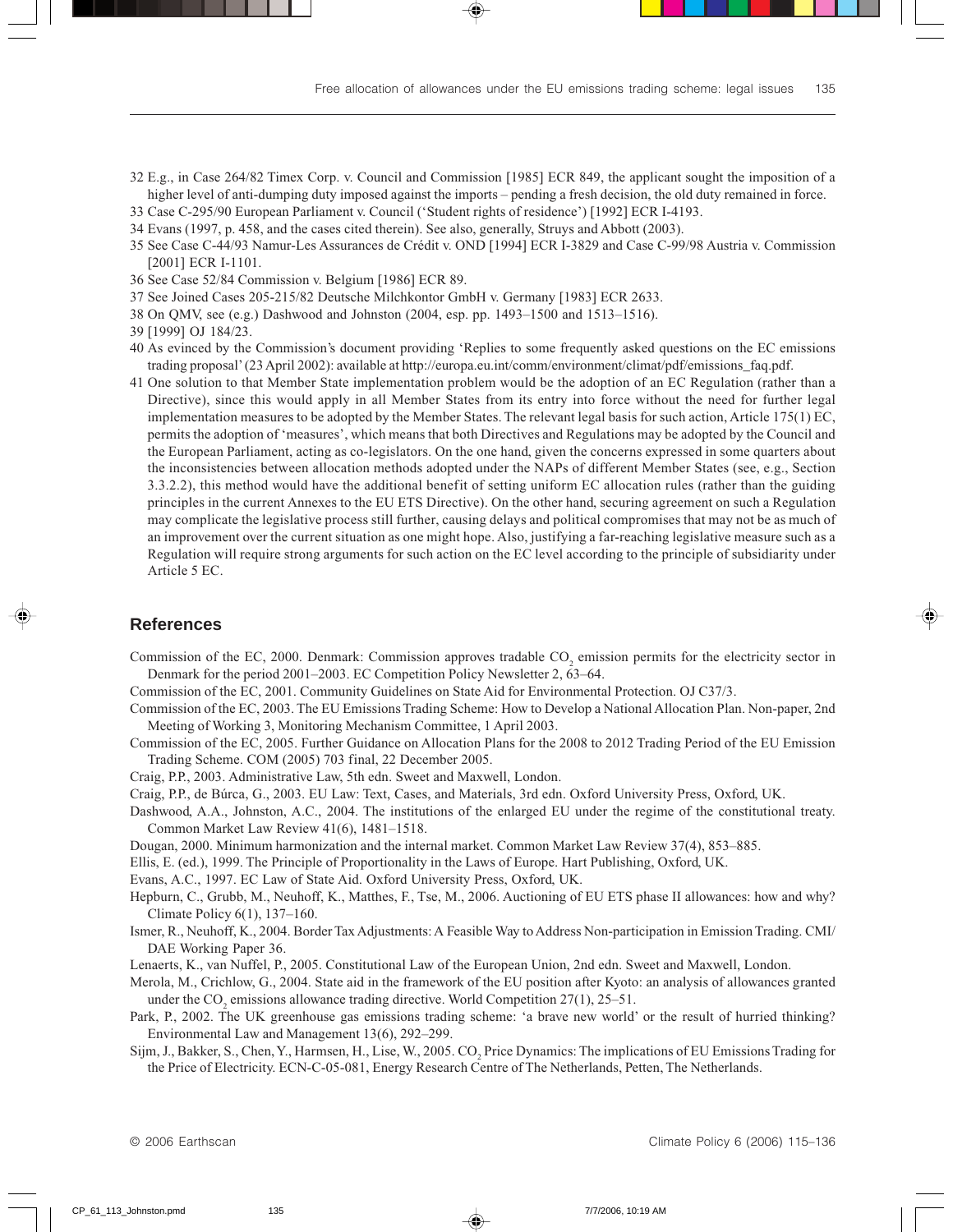- 32 E.g., in Case 264/82 Timex Corp. v. Council and Commission [1985] ECR 849, the applicant sought the imposition of a higher level of anti-dumping duty imposed against the imports – pending a fresh decision, the old duty remained in force.
- 33 Case C-295/90 European Parliament v. Council ('Student rights of residence') [1992] ECR I-4193.
- 34 Evans (1997, p. 458, and the cases cited therein). See also, generally, Struys and Abbott (2003).
- 35 See Case C-44/93 Namur-Les Assurances de Crédit v. OND [1994] ECR I-3829 and Case C-99/98 Austria v. Commission [2001] ECR I-1101.
- 36 See Case 52/84 Commission v. Belgium [1986] ECR 89.
- 37 See Joined Cases 205-215/82 Deutsche Milchkontor GmbH v. Germany [1983] ECR 2633.
- 38 On QMV, see (e.g.) Dashwood and Johnston (2004, esp. pp. 1493–1500 and 1513–1516).
- 39 [1999] OJ 184/23.
- 40 As evinced by the Commission's document providing 'Replies to some frequently asked questions on the EC emissions trading proposal' (23 April 2002): available at http://europa.eu.int/comm/environment/climat/pdf/emissions\_faq.pdf.
- 41 One solution to that Member State implementation problem would be the adoption of an EC Regulation (rather than a Directive), since this would apply in all Member States from its entry into force without the need for further legal implementation measures to be adopted by the Member States. The relevant legal basis for such action, Article 175(1) EC, permits the adoption of 'measures', which means that both Directives and Regulations may be adopted by the Council and the European Parliament, acting as co-legislators. On the one hand, given the concerns expressed in some quarters about the inconsistencies between allocation methods adopted under the NAPs of different Member States (see, e.g., Section 3.3.2.2), this method would have the additional benefit of setting uniform EC allocation rules (rather than the guiding principles in the current Annexes to the EU ETS Directive). On the other hand, securing agreement on such a Regulation may complicate the legislative process still further, causing delays and political compromises that may not be as much of an improvement over the current situation as one might hope. Also, justifying a far-reaching legislative measure such as a Regulation will require strong arguments for such action on the EC level according to the principle of subsidiarity under Article 5 EC.

# **References**

- Commission of the EC, 2000. Denmark: Commission approves tradable  $CO<sub>2</sub>$  emission permits for the electricity sector in Denmark for the period 2001–2003. EC Competition Policy Newsletter 2, 63–64.
- Commission of the EC, 2001. Community Guidelines on State Aid for Environmental Protection. OJ C37/3.

Commission of the EC, 2003. The EU Emissions Trading Scheme: How to Develop a National Allocation Plan. Non-paper, 2nd Meeting of Working 3, Monitoring Mechanism Committee, 1 April 2003.

Commission of the EC, 2005. Further Guidance on Allocation Plans for the 2008 to 2012 Trading Period of the EU Emission Trading Scheme. COM (2005) 703 final, 22 December 2005.

Craig, P.P., 2003. Administrative Law, 5th edn. Sweet and Maxwell, London.

- Craig, P.P., de Búrca, G., 2003. EU Law: Text, Cases, and Materials, 3rd edn. Oxford University Press, Oxford, UK.
- Dashwood, A.A., Johnston, A.C., 2004. The institutions of the enlarged EU under the regime of the constitutional treaty. Common Market Law Review 41(6), 1481–1518.
- Dougan, 2000. Minimum harmonization and the internal market. Common Market Law Review 37(4), 853–885.
- Ellis, E. (ed.), 1999. The Principle of Proportionality in the Laws of Europe. Hart Publishing, Oxford, UK.

Evans, A.C., 1997. EC Law of State Aid. Oxford University Press, Oxford, UK.

- Hepburn, C., Grubb, M., Neuhoff, K., Matthes, F., Tse, M., 2006. Auctioning of EU ETS phase II allowances: how and why? Climate Policy 6(1), 137–160.
- Ismer, R., Neuhoff, K., 2004. Border Tax Adjustments: A Feasible Way to Address Non-participation in Emission Trading. CMI/ DAE Working Paper 36.
- Lenaerts, K., van Nuffel, P., 2005. Constitutional Law of the European Union, 2nd edn. Sweet and Maxwell, London.
- Merola, M., Crichlow, G., 2004. State aid in the framework of the EU position after Kyoto: an analysis of allowances granted under the  $CO_2$  emissions allowance trading directive. World Competition 27(1), 25–51.
- Park, P., 2002. The UK greenhouse gas emissions trading scheme: 'a brave new world' or the result of hurried thinking? Environmental Law and Management 13(6), 292–299.
- Sijm, J., Bakker, S., Chen, Y., Harmsen, H., Lise, W., 2005. CO<sub>2</sub> Price Dynamics: The implications of EU Emissions Trading for the Price of Electricity. ECN-C-05-081, Energy Research Centre of The Netherlands, Petten, The Netherlands.